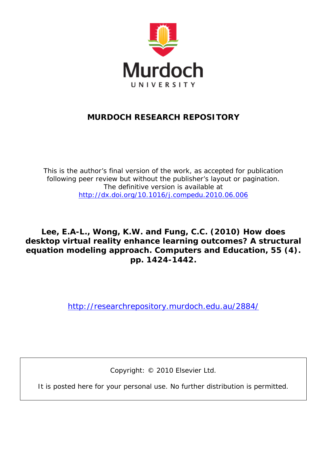

# **MURDOCH RESEARCH REPOSITORY**

*This is the author's final version of the work, as accepted for publication following peer review but without the publisher's layout or pagination. The definitive version is available at <http://dx.doi.org/10.1016/j.compedu.2010.06.006>*

**Lee, E.A-L., Wong, K.W. and Fung, C.C. (2010)** *How does desktop virtual reality enhance learning outcomes? A structural equation modeling approach.* **Computers and Education, 55 (4). pp. 1424-1442.**

<http://researchrepository.murdoch.edu.au/2884/>

Copyright: © 2010 Elsevier Ltd.

It is posted here for your personal use. No further distribution is permitted.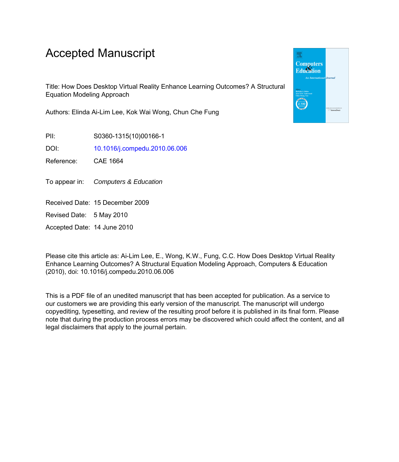# Accepted Manuscript

Title: How Does Desktop Virtual Reality Enhance Learning Outcomes? A Structural Equation Modeling Approach

Authors: Elinda Ai-Lim Lee, Kok Wai Wong, Chun Che Fung

PII: S0360-1315(10)00166-1

DOI: [10.1016/j.compedu.2010.06.006](http://dx.doi.org/10.1016/j.compedu.2010.06.006)

Reference: CAE 1664

To appear in: Computers & Education

Received Date: 15 December 2009

Revised Date: 5 May 2010

Accepted Date: 14 June 2010

Please cite this article as: Ai-Lim Lee, E., Wong, K.W., Fung, C.C. How Does Desktop Virtual Reality Enhance Learning Outcomes? A Structural Equation Modeling Approach, Computers & Education (2010), doi: 10.1016/j.compedu.2010.06.006

This is a PDF file of an unedited manuscript that has been accepted for publication. As a service to our customers we are providing this early version of the manuscript. The manuscript will undergo copyediting, typesetting, and review of the resulting proof before it is published in its final form. Please note that during the production process errors may be discovered which could affect the content, and all legal disclaimers that apply to the journal pertain.

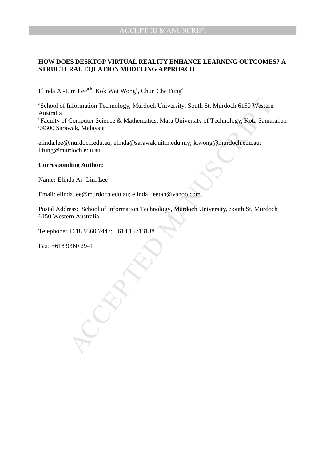# **HOW DOES DESKTOP VIRTUAL REALITY ENHANCE LEARNING OUTCOMES? A STRUCTURAL EQUATION MODELING APPROACH**

Elinda Ai-Lim Lee<sup>a.b</sup>, Kok Wai Wong<sup>a</sup>, Chun Che Fung<sup>a</sup>

<sup>a</sup>School of Information Technology, Murdoch University, South St, Murdoch 6150 Western Australia <sup>b</sup>Faculty of Computer Science & Mathematics, Mara University of Technology, Kota Samarahan 94300 Sarawak, Malaysia

elinda.lee@murdoch.edu.au; elinda@sarawak.uitm.edu.my; k.wong@murdoch.edu.au; l.fung@murdoch.edu.au

# **Corresponding Author:**

Name: Elinda Ai- Lim Lee

Email: elinda.lee@murdoch.edu.au; elinda\_leetan@yahoo.com

Postal Address: School of Information Technology, Murdoch University, South St, Murdoch 6150 Western Australia

Telephone: +618 9360 7447; +614 16713138

Fax: +618 9360 2941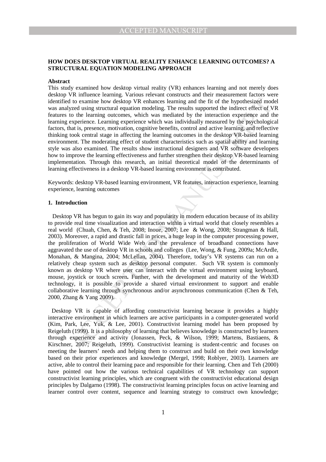#### **HOW DOES DESKTOP VIRTUAL REALITY ENHANCE LEARNING OUTCOMES? A STRUCTURAL EQUATION MODELING APPROACH**

#### **Abstract**

This study examined how desktop virtual reality (VR) enhances learning and not merely does desktop VR influence learning. Various relevant constructs and their measurement factors were identified to examine how desktop VR enhances learning and the fit of the hypothesized model was analyzed using structural equation modeling. The results supported the indirect effect of VR features to the learning outcomes, which was mediated by the interaction experience and the learning experience. Learning experience which was individually measured by the psychological factors, that is, presence, motivation, cognitive benefits, control and active learning, and reflective thinking took central stage in affecting the learning outcomes in the desktop VR-based learning environment. The moderating effect of student characteristics such as spatial ability and learning style was also examined. The results show instructional designers and VR software developers how to improve the learning effectiveness and further strengthen their desktop VR-based learning implementation. Through this research, an initial theoretical model of the determinants of learning effectiveness in a desktop VR-based learning environment is contributed.

Keywords: desktop VR-based learning environment, VR features, interaction experience, learning experience, learning outcomes

#### **1. Introduction**

 Desktop VR has begun to gain its way and popularity in modern education because of its ability to provide real time visualization and interaction within a virtual world that closely resembles a real world (Chuah, Chen, & Teh, 2008; Inoue, 2007; Lee & Wong, 2008; Strangman & Hall, 2003). Moreover, a rapid and drastic fall in prices, a huge leap in the computer processing power, the proliferation of World Wide Web and the prevalence of broadband connections have aggravated the use of desktop VR in schools and colleges (Lee, Wong, & Fung, 2009a; McArdle, Monahan, & Mangina, 2004; McLellan, 2004). Therefore, today's VR systems can run on a relatively cheap system such as desktop personal computer. Such VR system is commonly known as desktop VR where user can interact with the virtual environment using keyboard, mouse, joystick or touch screen**.** Further, with the development and maturity of the Web3D technology, it is possible to provide a shared virtual environment to support and enable collaborative learning through synchronous and/or asynchronous communication (Chen & Teh, 2000, Zhang & Yang 2009).

Desktop VR is capable of affording constructivist learning because it provides a highly interactive environment in which learners are active participants in a computer-generated world (Kim, Park, Lee, Yuk, & Lee, 2001). Constructivist learning model has been proposed by Reigeluth (1999). It is a philosophy of learning that believes knowledge is constructed by learners through experience and activity (Jonassen, Peck, & Wilson, 1999; Martens, Bastiaens, & Kirschner, 2007; Reigeluth, 1999). Constructivist learning is student-centric and focuses on meeting the learners' needs and helping them to construct and build on their own knowledge based on their prior experiences and knowledge (Mergel, 1998; Roblyer, 2003). Learners are active, able to control their learning pace and responsible for their learning. Chen and Teh (2000) have pointed out how the various technical capabilities of VR technology can support constructivist learning principles, which are congruent with the constructivist educational design principles by Dalgarno (1998). The constructivist learning principles focus on active learning and learner control over content, sequence and learning strategy to construct own knowledge;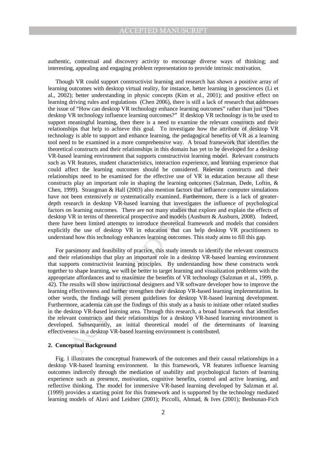authentic, contextual and discovery activity to encourage diverse ways of thinking; and interesting, appealing and engaging problem representation to provide intrinsic motivation.

Though VR could support constructivist learning and research has shown a positive array of learning outcomes with desktop virtual reality, for instance, better learning in geosciences (Li et al., 2002); better understanding in physic concepts (Kim et al., 2001); and positive effect on learning driving rules and regulations (Chen 2006), there is still a lack of research that addresses the issue of "How can desktop VR technology enhance learning outcomes" rather than just "Does desktop VR technology influence learning outcomes?" If desktop VR technology is to be used to support meaningful learning, then there is a need to examine the relevant constructs and their relationships that help to achieve this goal. To investigate how the attribute of desktop VR technology is able to support and enhance learning, the pedagogical benefits of VR as a learning tool need to be examined in a more comprehensive way. A broad framework that identifies the theoretical constructs and their relationships in this domain has yet to be developed for a desktop VR-based learning environment that supports constructivist learning model. Relevant constructs such as VR features, student characteristics, interaction experience, and learning experience that could affect the learning outcomes should be considered. Relevant constructs and their relationships need to be examined for the effective use of VR in education because all these constructs play an important role in shaping the learning outcomes (Salzman, Dede, Loftin, & Chen, 1999). Strangman & Hall (2003) also mention factors that influence computer simulations have not been extensively or systematically examined. Furthermore, there is a lack of greaterdepth research in desktop VR-based learning that investigates the influence of psychological factors on learning outcomes. There are not many studies that explore and explain the effects of desktop VR in terms of theoretical prospective and models (Ausburn & Ausburn, 2008). Indeed, there have been limited attempts to introduce theoretical framework and models that considers explicitly the use of desktop VR in education that can help desktop VR practitioners to understand how this technology enhances learning outcomes. This study aims to fill this gap.

For parsimony and feasibility of practice, this study intends to identify the relevant constructs and their relationships that play an important role in a desktop VR-based learning environment that supports constructivist learning principles. By understanding how these constructs work together to shape learning, we will be better to target learning and visualization problems with the appropriate affordances and to maximize the benefits of VR technology (Salzman et al., 1999, p. 42). The results will show instructional designers and VR software developer how to improve the learning effectiveness and further strengthen their desktop VR-based learning implementation. In other words, the findings will present guidelines for desktop VR-based learning development. Furthermore, academia can use the findings of this study as a basis to initiate other related studies in the desktop VR-based learning area. Through this research, a broad framework that identifies the relevant constructs and their relationships for a desktop VR-based learning environment is developed. Subsequently, an initial theoretical model of the determinants of learning effectiveness in a desktop VR-based learning environment is contributed.

#### **2. Conceptual Background**

Fig. 1 illustrates the conceptual framework of the outcomes and their causal relationships in a desktop VR-based learning environment. In this framework, VR features influence learning outcomes indirectly through the mediation of usability and psychological factors of learning experience such as presence, motivation, cognitive benefits, control and active learning, and reflective thinking. The model for immersive VR-based learning developed by Salzman et al. (1999) provides a starting point for this framework and is supported by the technology mediated learning models of Alavi and Leidner (2001); Piccolli, Ahmad, & Ives (2001); Benbunan-Fich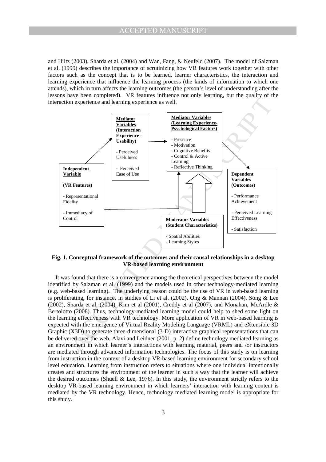and Hiltz (2003), Sharda et al. (2004) and Wan, Fang, & Neufeld (2007). The model of Salzman et al. (1999) describes the importance of scrutinizing how VR features work together with other factors such as the concept that is to be learned, learner characteristics, the interaction and learning experience that influence the learning process (the kinds of information to which one attends), which in turn affects the learning outcomes (the person's level of understanding after the lessons have been completed). VR features influence not only learning, but the quality of the interaction experience and learning experience as well.



**Fig. 1. Conceptual framework of the outcomes and their causal relationships in a desktop VR-based learning environment** 

It was found that there is a convergence among the theoretical perspectives between the model identified by Salzman et al. (1999) and the models used in other technology-mediated learning (e.g. web-based learning). The underlying reason could be the use of VR in web-based learning is proliferating, for instance, in studies of Li et al. (2002), Ong & Mannan (2004), Song & Lee (2002), Sharda et al. (2004), Kim et al (2001), Creddy et al (2007), and Monahan, McArdle & Bertolotto (2008). Thus, technology-mediated learning model could help to shed some light on the learning effectiveness with VR technology. More application of VR in web-based learning is expected with the emergence of Virtual Reality Modeling Language (VRML) and eXtensible 3D Graphic (X3D) to generate three-dimensional (3-D) interactive graphical representations that can be delivered over the web. Alavi and Leidner (2001, p. 2) define technology mediated learning as an environment in which learner's interactions with learning material, peers and /or instructors are mediated through advanced information technologies. The focus of this study is on learning from instruction in the context of a desktop VR-based learning environment for secondary school level education. Learning from instruction refers to situations where one individual intentionally creates and structures the environment of the learner in such a way that the learner will achieve the desired outcomes (Shuell  $&$  Lee, 1976). In this study, the environment strictly refers to the desktop VR-based learning environment in which learners' interaction with learning content is mediated by the VR technology. Hence, technology mediated learning model is appropriate for this study.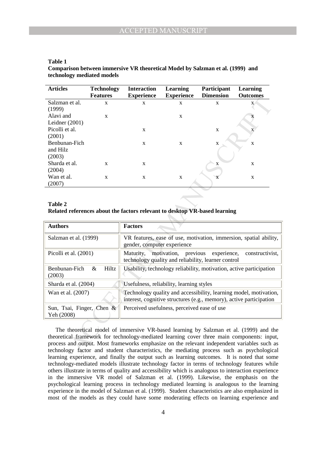| <b>Articles</b>  | <b>Technology</b> | <b>Interaction</b> | Learning          | Participant      | <b>Learning</b> |
|------------------|-------------------|--------------------|-------------------|------------------|-----------------|
|                  | <b>Features</b>   | <b>Experience</b>  | <b>Experience</b> | <b>Dimension</b> | <b>Outcomes</b> |
| Salzman et al.   | X                 | $\mathbf{x}$       | X                 | X                | X               |
| (1999)           |                   |                    |                   |                  |                 |
| Alavi and        | X                 |                    | X                 |                  | X               |
| Leidner $(2001)$ |                   |                    |                   |                  |                 |
| Picolli et al.   |                   | $\mathbf{x}$       |                   | X                | X               |
| (2001)           |                   |                    |                   |                  |                 |
| Benbunan-Fich    |                   | $\mathbf{x}$       | X                 | X                | $\mathbf{x}$    |
| and Hilz         |                   |                    |                   |                  |                 |
| (2003)           |                   |                    |                   |                  |                 |
| Sharda et al.    | $\mathbf{x}$      | $\mathbf{x}$       |                   | X                | $\mathbf{x}$    |
| (2004)           |                   |                    |                   |                  |                 |
| Wan et al.       | $\mathbf{x}$      | $\mathbf{x}$       | X                 | X                | $\mathbf{x}$    |
| (2007)           |                   |                    |                   |                  |                 |
|                  |                   |                    |                   |                  |                 |

#### **Table 1 Comparison between immersive VR theoretical Model by Salzman et al. (1999) and technology mediated models**

**Table 2 Related references about the factors relevant to desktop VR-based learning** 

| <b>Authors</b>                          | <b>Factors</b>                                                                                                                           |  |  |  |  |
|-----------------------------------------|------------------------------------------------------------------------------------------------------------------------------------------|--|--|--|--|
| Salzman et al. (1999)                   | VR features, ease of use, motivation, immersion, spatial ability,<br>gender, computer experience                                         |  |  |  |  |
| Picolli et al. (2001)                   | motivation, previous experience,<br>constructivist,<br>Maturity,<br>technology quality and reliability, learner control                  |  |  |  |  |
| Benbunan-Fich<br>&<br>Hiltz<br>(2003)   | Usability, technology reliability, motivation, active participation                                                                      |  |  |  |  |
| Sharda et al. (2004)                    | Usefulness, reliability, learning styles                                                                                                 |  |  |  |  |
| Wan et al. (2007)                       | Technology quality and accessibility, learning model, motivation,<br>interest, cognitive structures (e.g., memory), active participation |  |  |  |  |
| Sun, Tsai, Finger, Chen &<br>Yeh (2008) | Perceived usefulness, perceived ease of use                                                                                              |  |  |  |  |

The theoretical model of immersive VR-based learning by Salzman et al. (1999) and the theoretical framework for technology-mediated learning cover three main components: input, process and output. Most frameworks emphasize on the relevant independent variables such as technology factor and student characteristics, the mediating process such as psychological learning experience, and finally the output such as learning outcomes. It is noted that some technology-mediated models illustrate technology factor in terms of technology features while others illustrate in terms of quality and accessibility which is analogous to interaction experience in the immersive VR model of Salzman et al. (1999). Likewise, the emphasis on the psychological learning process in technology mediated learning is analogous to the learning experience in the model of Salzman et al. (1999). Student characteristics are also emphasized in most of the models as they could have some moderating effects on learning experience and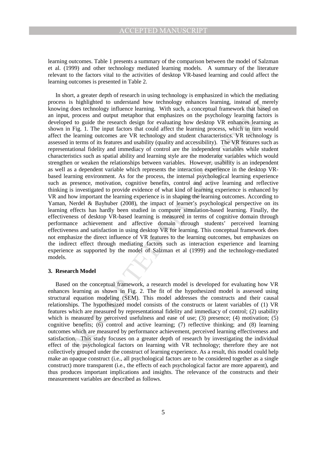learning outcomes. Table 1 presents a summary of the comparison between the model of Salzman et al. (1999) and other technology mediated learning models. A summary of the literature relevant to the factors vital to the activities of desktop VR-based learning and could affect the learning outcomes is presented in Table 2.

In short, a greater depth of research in using technology is emphasized in which the mediating process is highlighted to understand how technology enhances learning, instead of merely knowing does technology influence learning. With such, a conceptual framework that based on an input, process and output metaphor that emphasizes on the psychology learning factors is developed to guide the research design for evaluating how desktop VR enhances learning as shown in Fig. 1. The input factors that could affect the learning process, which in turn would affect the learning outcomes are VR technology and student characteristics. VR technology is assessed in terms of its features and usability (quality and accessibility). The VR features such as representational fidelity and immediacy of control are the independent variables while student characteristics such as spatial ability and learning style are the moderator variables which would strengthen or weaken the relationships between variables. However, usability is an independent as well as a dependent variable which represents the interaction experience in the desktop VRbased learning environment. As for the process, the internal psychological learning experience such as presence, motivation, cognitive benefits, control and active learning and reflective thinking is investigated to provide evidence of what kind of learning experience is enhanced by VR and how important the learning experience is in shaping the learning outcomes. According to Yaman, Nerdel & Bayhuber (2008), the impact of learner's psychological perspective on its learning effects has hardly been studied in computer simulation-based learning. Finally, the effectiveness of desktop VR-based learning is measured in terms of cognitive domain through performance achievement and affective domain through students' perceived learning effectiveness and satisfaction in using desktop VR for learning. This conceptual framework does not emphasize the direct influence of VR features to the learning outcomes, but emphasizes on the indirect effect through mediating factors such as interaction experience and learning experience as supported by the model of Salzman et al (1999) and the technology-mediated models.

#### **3. Research Model**

Based on the conceptual framework, a research model is developed for evaluating how VR enhances learning as shown in Fig. 2. The fit of the hypothesized model is assessed using structural equation modeling (SEM). This model addresses the constructs and their causal relationships. The hypothesized model consists of the constructs or latent variables of (1) VR features which are measured by representational fidelity and immediacy of control; (2) usability which is measured by perceived usefulness and ease of use; (3) presence; (4) motivation; (5) cognitive benefits;  $(6)$  control and active learning;  $(7)$  reflective thinking; and  $(8)$  learning outcomes which are measured by performance achievement, perceived learning effectiveness and satisfaction. This study focuses on a greater depth of research by investigating the individual effect of the psychological factors on learning with VR technology; therefore they are not collectively grouped under the construct of learning experience. As a result, this model could help make an opaque construct (i.e., all psychological factors are to be considered together as a single construct) more transparent (i.e., the effects of each psychological factor are more apparent), and thus produces important implications and insights. The relevance of the constructs and their measurement variables are described as follows.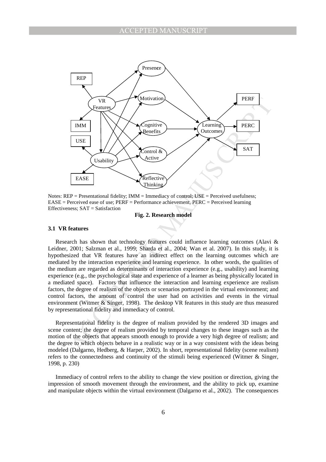

Notes:  $REP =$  Presentational fidelity;  $IMM =$  Immediacy of control;  $USE =$  Perceived usefulness; EASE = Perceived ease of use; PERF = Performance achievement, PERC = Perceived learning Effectiveness; SAT = Satisfaction

#### **Fig. 2. Research model**

#### **3.1 VR features**

Research has shown that technology features could influence learning outcomes (Alavi & Leidner, 2001; Salzman et al., 1999; Sharda et al., 2004; Wan et al. 2007). In this study, it is hypothesized that VR features have an indirect effect on the learning outcomes which are mediated by the interaction experience and learning experience. In other words, the qualities of the medium are regarded as determinants of interaction experience (e.g., usability) and learning experience (e.g., the psychological state and experience of a learner as being physically located in a mediated space). Factors that influence the interaction and learning experience are realism factors, the degree of realism of the objects or scenarios portrayed in the virtual environment; and control factors, the amount of control the user had on activities and events in the virtual environment (Witmer & Singer, 1998). The desktop VR features in this study are thus measured by representational fidelity and immediacy of control.

Representational fidelity is the degree of realism provided by the rendered 3D images and scene content; the degree of realism provided by temporal changes to these images such as the motion of the objects that appears smooth enough to provide a very high degree of realism; and the degree to which objects behave in a realistic way or in a way consistent with the ideas being modeled (Dalgarno, Hedberg, & Harper, 2002). In short, representational fidelity (scene realism) refers to the connectedness and continuity of the stimuli being experienced (Witmer & Singer, 1998, p. 230)

Immediacy of control refers to the ability to change the view position or direction, giving the impression of smooth movement through the environment, and the ability to pick up, examine and manipulate objects within the virtual environment (Dalgarno et al., 2002). The consequences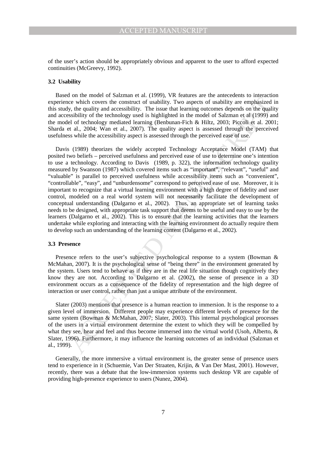of the user's action should be appropriately obvious and apparent to the user to afford expected continuities (McGreevy, 1992).

#### **3.2 Usability**

Based on the model of Salzman et al. (1999), VR features are the antecedents to interaction experience which covers the construct of usability. Two aspects of usability are emphasized in this study, the quality and accessibility. The issue that learning outcomes depends on the quality and accessibility of the technology used is highlighted in the model of Salzman et al (1999) and the model of technology mediated learning (Benbunan-Fich & Hiltz, 2003; Piccoli et al. 2001; Sharda et al., 2004; Wan et al., 2007). The quality aspect is assessed through the perceived usefulness while the accessibility aspect is assessed through the perceived ease of use.

Davis (1989) theorizes the widely accepted Technology Acceptance Model (TAM) that posited two beliefs – perceived usefulness and perceived ease of use to determine one's intention to use a technology. According to Davis (1989, p. 322), the information technology quality measured by Swanson (1987) which covered items such as "important", "relevant", "useful" and "valuable" is parallel to perceived usefulness while accessibility items such as "convenient", "controllable", "easy", and "unburdensome" correspond to perceived ease of use. Moreover, it is important to recognize that a virtual learning environment with a high degree of fidelity and user control, modeled on a real world system will not necessarily facilitate the development of conceptual understanding (Dalgarno et al., 2002). Thus, an appropriate set of learning tasks needs to be designed, with appropriate task support that deems to be useful and easy to use by the learners (Dalgarno et al., 2002). This is to ensure that the learning activities that the learners undertake while exploring and interacting with the learning environment do actually require them to develop such an understanding of the learning content (Dalgarno et al., 2002).

#### **3.3 Presence**

Presence refers to the user's subjective psychological response to a system (Bowman & McMahan, 2007). It is the psychological sense of "being there" in the environment generated by the system. Users tend to behave as if they are in the real life situation though cognitively they know they are not. According to Dalgarno et al. (2002), the sense of presence in a 3D environment occurs as a consequence of the fidelity of representation and the high degree of interaction or user control, rather than just a unique attribute of the environment.

Slater (2003) mentions that presence is a human reaction to immersion. It is the response to a given level of immersion. Different people may experience different levels of presence for the same system (Bowman & McMahan, 2007; Slater, 2003). This internal psychological processes of the users in a virtual environment determine the extent to which they will be compelled by what they see, hear and feel and thus become immersed into the virtual world (Usoh, Alberto, & Slater, 1996). Furthermore, it may influence the learning outcomes of an individual (Salzman et al., 1999).

Generally, the more immersive a virtual environment is, the greater sense of presence users tend to experience in it (Schuemie, Van Der Straaten, Krijin, & Van Der Mast, 2001). However, recently, there was a debate that the low-immersion systems such desktop VR are capable of providing high-presence experience to users (Nunez, 2004).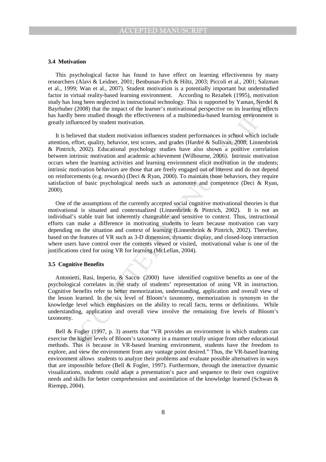#### **3.4 Motivation**

This psychological factor has found to have effect on learning effectiveness by many researchers (Alavi & Leidner, 2001; Benbunan-Fich & Hiltz, 2003; Piccoli et al., 2001; Salzman et al., 1999; Wan et al., 2007). Student motivation is a potentially important but understudied factor in virtual reality-based learning environment. According to Rezabek (1995), motivation study has long been neglected in instructional technology. This is supported by Yaman, Nerdel & Bayrhuber (2008) that the impact of the learner's motivational perspective on its learning effects has hardly been studied though the effectiveness of a multimedia-based learning environment is greatly influenced by student motivation.

It is believed that student motivation influences student performances in school which include attention, effort, quality, behavior, test scores, and grades (Hardré & Sullivan, 2008; Linnenbrink & Pintrich, 2002). Educational psychology studies have also shown a positive correlation between intrinsic motivation and academic achievement (Wilbourne, 2006). Intrinsic motivation occurs when the learning activities and learning environment elicit motivation in the students; intrinsic motivation behaviors are those that are freely engaged out of interest and do not depend on reinforcements (e.g. rewards) (Deci & Ryan, 2000). To maintain those behaviors, they require satisfaction of basic psychological needs such as autonomy and competence (Deci & Ryan, 2000).

One of the assumptions of the currently accepted social cognitive motivational theories is that motivational is situated and contextualized (Linnenbrink & Pintrich, 2002). It is not an individual's stable trait but inherently changeable and sensitive to context. Thus, instructional efforts can make a difference in motivating students to learn because motivation can vary depending on the situation and context of learning (Linnenbrink & Pintrich, 2002). Therefore, based on the features of VR such as 3-D dimension, dynamic display, and closed-loop interaction where users have control over the contents viewed or visited, motivational value is one of the justifications cited for using VR for learning (McLellan, 2004).

#### **3.5 Cognitive Benefits**

Antonietti, Rasi, Imperio, & Sacco (2000) have identified cognitive benefits as one of the psychological correlates in the study of students' representation of using VR in instruction. Cognitive benefits refer to better memorization, understanding, application and overall view of the lesson learned. In the six level of Bloom's taxonomy, memorization is synonym to the knowledge level which emphasizes on the ability to recall facts, terms or definitions. While understanding, application and overall view involve the remaining five levels of Bloom's taxonomy.

Bell & Fogler (1997, p. 3) asserts that "VR provides an environment in which students can exercise the higher levels of Bloom's taxonomy in a manner totally unique from other educational methods. This is because in VR-based learning environment, students have the freedom to explore, and view the environment from any vantage point desired." Thus, the VR-based learning environment allows students to analyze their problems and evaluate possible alternatives in ways that are impossible before (Bell & Fogler, 1997). Furthermore, through the interactive dynamic visualizations, students could adapt a presentation's pace and sequence to their own cognitive needs and skills for better comprehension and assimilation of the knowledge learned (Schwan & Riempp, 2004).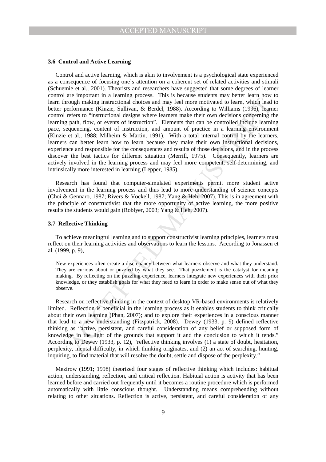#### **3.6 Control and Active Learning**

Control and active learning, which is akin to involvement is a psychological state experienced as a consequence of focusing one's attention on a coherent set of related activities and stimuli (Schuemie et al., 2001). Theorists and researchers have suggested that some degrees of learner control are important in a learning process. This is because students may better learn how to learn through making instructional choices and may feel more motivated to learn, which lead to better performance (Kinzie, Sullivan, & Berdel, 1988). According to Williams (1996), learner control refers to "instructional designs where learners make their own decisions concerning the learning path, flow, or events of instruction". Elements that can be controlled include learning pace, sequencing, content of instruction, and amount of practice in a learning environment (Kinzie et al., 1988; Milheim & Martin, 1991). With a total internal control by the learners, learners can better learn how to learn because they make their own instructional decisions, experience and responsible for the consequences and results of those decisions, and in the process discover the best tactics for different situation (Merrill, 1975). Consequently, learners are actively involved in the learning process and may feel more competent, self-determining, and intrinsically more interested in learning (Lepper, 1985).

Research has found that computer-simulated experiments permit more student active involvement in the learning process and thus lead to more understanding of science concepts (Choi & Gennaro, 1987; Rivers & Vockell, 1987; Yang & Heh, 2007). This is in agreement with the principle of constructivist that the more opportunity of active learning, the more positive results the students would gain (Roblyer, 2003; Yang & Heh, 2007).

#### **3.7 Reflective Thinking**

To achieve meaningful learning and to support constructivist learning principles, learners must reflect on their learning activities and observations to learn the lessons. According to Jonassen et al. (1999, p. 9),

 New experiences often create a discrepancy between what learners observe and what they understand. They are curious about or puzzled by what they see. That puzzlement is the catalyst for meaning making. By reflecting on the puzzling experience, learners integrate new experiences with their prior knowledge, or they establish goals for what they need to learn in order to make sense out of what they observe.

Research on reflective thinking in the context of desktop VR-based environments is relatively limited. Reflection is beneficial in the learning process as it enables students to think critically about their own learning (Phan, 2007); and to explore their experiences in a conscious manner that lead to a new understanding (Fitzpatrick, 2008). Dewey (1933, p. 9) defined reflective thinking as "active, persistent, and careful consideration of any belief or supposed form of knowledge in the light of the grounds that support it and the conclusion to which it tends." According to Dewey (1933, p. 12), "reflective thinking involves (1) a state of doubt, hesitation, perplexity, mental difficulty, in which thinking originates, and (2) an act of searching, hunting, inquiring, to find material that will resolve the doubt, settle and dispose of the perplexity."

Mezirow (1991; 1998) theorized four stages of reflective thinking which includes: habitual action, understanding, reflection, and critical reflection. Habitual action is activity that has been learned before and carried out frequently until it becomes a routine procedure which is performed automatically with little conscious thought. Understanding means comprehending without relating to other situations. Reflection is active, persistent, and careful consideration of any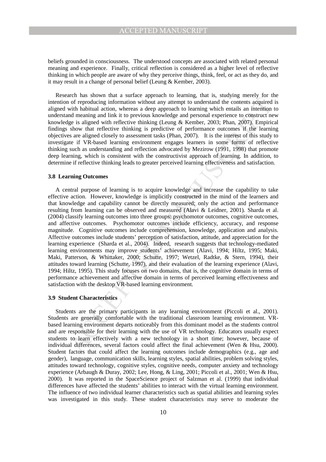beliefs grounded in consciousness. The understood concepts are associated with related personal meaning and experience. Finally, critical reflection is considered as a higher level of reflective thinking in which people are aware of why they perceive things, think, feel, or act as they do, and it may result in a change of personal belief (Leung & Kember, 2003).

Research has shown that a surface approach to learning, that is, studying merely for the intention of reproducing information without any attempt to understand the contents acquired is aligned with habitual action, whereas a deep approach to learning which entails an intention to understand meaning and link it to previous knowledge and personal experience to construct new knowledge is aligned with reflective thinking (Leung & Kember, 2003; Phan, 2007). Empirical findings show that reflective thinking is predictive of performance outcomes if the learning objectives are aligned closely to assessment tasks (Phan, 2007). It is the interest of this study to investigate if VR-based learning environment engages learners in some forms of reflective thinking such as understanding and reflection advocated by Mezirow (1991, 1998) that promote deep learning, which is consistent with the constructivist approach of learning. In addition, to determine if reflective thinking leads to greater perceived learning effectiveness and satisfaction.

#### **3.8 Learning Outcomes**

A central purpose of learning is to acquire knowledge and increase the capability to take effective action. However, knowledge is implicitly constructed in the mind of the learners and that knowledge and capability cannot be directly measured; only the action and performance resulting from learning can be observed and measured (Alavi & Leidner, 2001). Sharda et al. (2004) classify learning outcomes into three groups: psychomotor outcomes, cognitive outcomes, and affective outcomes. Psychomotor outcomes include efficiency, accuracy, and response magnitude. Cognitive outcomes include comprehension, knowledge, application and analysis. Affective outcomes include students' perception of satisfaction, attitude, and appreciation for the learning experience (Sharda et al., 2004). Indeed, research suggests that technology-mediated learning environments may improve students' achievement (Alavi, 1994; Hiltz, 1995; Maki, Maki, Patterson, & Whittaker, 2000; Schutte, 1997; Wetzel, Radtke, & Stern, 1994), their attitudes toward learning (Schutte, 1997), and their evaluation of the learning experience (Alavi, 1994; Hiltz, 1995). This study focuses on two domains, that is, the cognitive domain in terms of performance achievement and affective domain in terms of perceived learning effectiveness and satisfaction with the desktop VR-based learning environment.

#### **3.9 Student Characteristics**

Students are the primary participants in any learning environment (Piccoli et al., 2001). Students are generally comfortable with the traditional classroom learning environment. VRbased learning environment departs noticeably from this dominant model as the students control and are responsible for their learning with the use of VR technology. Educators usually expect students to learn effectively with a new technology in a short time; however, because of individual differences, several factors could affect the final achievement (Wen & Hsu, 2000). Student factors that could affect the learning outcomes include demographics (e.g., age and gender), language, communication skills, learning styles, spatial abilities, problem solving styles, attitudes toward technology, cognitive styles, cognitive needs, computer anxiety and technology experience (Arbaugh & Duray, 2002; Lee, Hong, & Ling, 2001; Piccoli et al., 2001; Wen & Hsu, 2000). It was reported in the SpaceScience project of Salzman et al. (1999) that individual differences have affected the students' abilities to interact with the virtual learning environment. The influence of two individual learner characteristics such as spatial abilities and learning styles was investigated in this study. These student characteristics may serve to moderate the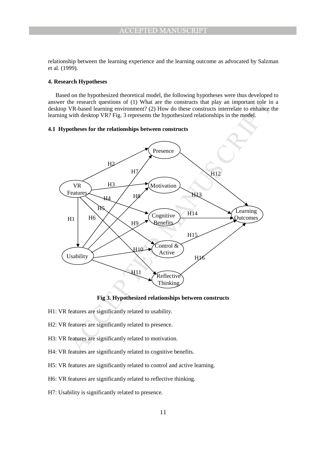relationship between the learning experience and the learning outcome as advocated by Salzman et al. (1999).

## **4. Research Hypotheses**

Based on the hypothesized theoretical model, the following hypotheses were thus developed to answer the research questions of (1) What are the constructs that play an important role in a desktop VR-based learning environment? (2) How do these constructs interrelate to enhance the learning with desktop VR? Fig. 3 represents the hypothesized relationships in the model.

#### **4.1 Hypotheses for the relationships between constructs**



#### **Fig 3. Hypothesized relationships between constructs**

- H1: VR features are significantly related to usability.
- H2: VR features are significantly related to presence.
- H3: VR features are significantly related to motivation.
- H4: VR features are significantly related to cognitive benefits.
- H5: VR features are significantly related to control and active learning.
- H6: VR features are significantly related to reflective thinking.
- H7: Usability is significantly related to presence.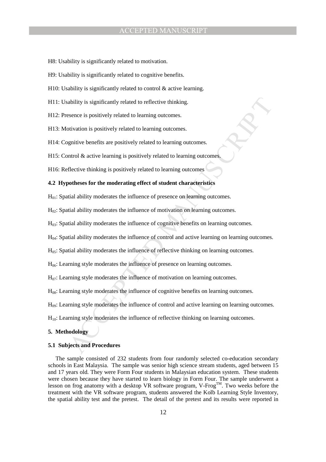H8: Usability is significantly related to motivation.

H9: Usability is significantly related to cognitive benefits.

H10: Usability is significantly related to control & active learning.

H11: Usability is significantly related to reflective thinking.

H12: Presence is positively related to learning outcomes.

H13: Motivation is positively related to learning outcomes.

H14: Cognitive benefits are positively related to learning outcomes.

H15: Control & active learning is positively related to learning outcomes.

H16: Reflective thinking is positively related to learning outcomes

#### **4.2 Hypotheses for the moderating effect of student characteristics**

 $H<sub>01</sub>$ : Spatial ability moderates the influence of presence on learning outcomes.

 $H<sub>02</sub>$ : Spatial ability moderates the influence of motivation on learning outcomes.

 $H<sub>03</sub>$ : Spatial ability moderates the influence of cognitive benefits on learning outcomes.

H04: Spatial ability moderates the influence of control and active learning on learning outcomes.

H05: Spatial ability moderates the influence of reflective thinking on learning outcomes.

H06: Learning style moderates the influence of presence on learning outcomes.

 $H_{07}$ : Learning style moderates the influence of motivation on learning outcomes.

 $H<sub>08</sub>$ : Learning style moderates the influence of cognitive benefits on learning outcomes.

H09: Learning style moderates the influence of control and active learning on learning outcomes.

H<sub>10</sub>: Learning style moderates the influence of reflective thinking on learning outcomes.

#### **5. Methodology**

#### **5.1 Subjects and Procedures**

The sample consisted of 232 students from four randomly selected co-education secondary schools in East Malaysia. The sample was senior high science stream students, aged between 15 and 17 years old. They were Form Four students in Malaysian education system. These students were chosen because they have started to learn biology in Form Four. The sample underwent a lesson on frog anatomy with a desktop VR software program, V-Frog<sup>TM</sup>. Two weeks before the treatment with the VR software program, students answered the Kolb Learning Style Inventory, the spatial ability test and the pretest. The detail of the pretest and its results were reported in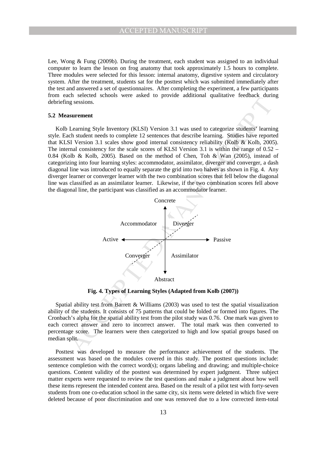Lee, Wong & Fung (2009b). During the treatment, each student was assigned to an individual computer to learn the lesson on frog anatomy that took approximately 1.5 hours to complete. Three modules were selected for this lesson: internal anatomy, digestive system and circulatory system. After the treatment, students sat for the posttest which was submitted immediately after the test and answered a set of questionnaires. After completing the experiment, a few participants from each selected schools were asked to provide additional qualitative feedback during debriefing sessions.

#### **5.2 Measurement**

Kolb Learning Style Inventory (KLSI) Version 3.1 was used to categorize students' learning style. Each student needs to complete 12 sentences that describe learning. Studies have reported that KLSI Version 3.1 scales show good internal consistency reliability (Kolb & Kolb, 2005). The internal consistency for the scale scores of KLSI Version 3.1 is within the range of 0.52 – 0.84 (Kolb & Kolb, 2005). Based on the method of Chen, Toh & Wan (2005), instead of categorizing into four learning styles: accommodator, assimilator, diverger and converger, a dash diagonal line was introduced to equally separate the grid into two halves as shown in Fig. 4. Any diverger learner or converger learner with the two combination scores that fell below the diagonal line was classified as an assimilator learner. Likewise, if the two combination scores fell above the diagonal line, the participant was classified as an accommodator learner.



**Fig. 4. Types of Learning Styles (Adapted from Kolb (2007))** 

Spatial ability test from Barrett & Williams (2003) was used to test the spatial visualization ability of the students. It consists of 75 patterns that could be folded or formed into figures. The Cronbach's alpha for the spatial ability test from the pilot study was 0.76. One mark was given to each correct answer and zero to incorrect answer. The total mark was then converted to percentage score. The learners were then categorized to high and low spatial groups based on median split.

Posttest was developed to measure the performance achievement of the students. The assessment was based on the modules covered in this study. The posttest questions include: sentence completion with the correct word(s); organs labeling and drawing; and multiple-choice questions. Content validity of the posttest was determined by expert judgment. Three subject matter experts were requested to review the test questions and make a judgment about how well these items represent the intended content area. Based on the result of a pilot test with forty-seven students from one co-education school in the same city, six items were deleted in which five were deleted because of poor discrimination and one was removed due to a low corrected item-total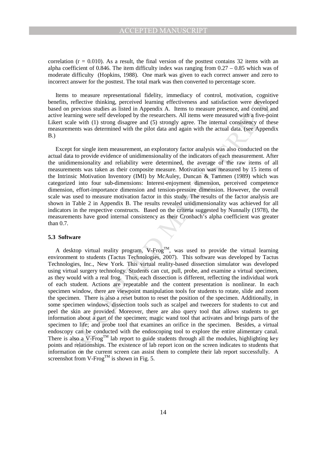correlation ( $r = 0.010$ ). As a result, the final version of the posttest contains 32 items with an alpha coefficient of 0.846. The item difficulty index was ranging from  $0.27 - 0.85$  which was of moderate difficulty (Hopkins, 1988). One mark was given to each correct answer and zero to incorrect answer for the posttest. The total mark was then converted to percentage score.

Items to measure representational fidelity, immediacy of control, motivation, cognitive benefits, reflective thinking, perceived learning effectiveness and satisfaction were developed based on previous studies as listed in Appendix A. Items to measure presence, and control and active learning were self developed by the researchers. All items were measured with a five-point Likert scale with (1) strong disagree and (5) strongly agree. The internal consistency of these measurements was determined with the pilot data and again with the actual data. (see Appendix B.)

Except for single item measurement, an exploratory factor analysis was also conducted on the actual data to provide evidence of unidimensionality of the indicators of each measurement. After the unidimensionality and reliability were determined, the average of the raw items of all measurements was taken as their composite measure. Motivation was measured by 15 items of the Intrinsic Motivation Inventory (IMI) by McAuley, Duncan & Tammen (1989) which was categorized into four sub-dimensions: Interest-enjoyment dimension, perceived competence dimension, effort-importance dimension and tension-pressure dimension. However, the overall scale was used to measure motivation factor in this study. The results of the factor analysis are shown in Table 2 in Appendix B. The results revealed unidimensionality was achieved for all indicators in the respective constructs. Based on the criteria suggested by Nunnally (1978), the measurements have good internal consistency as their Cronbach's alpha coefficient was greater than 0.7.

#### **5.3 Software**

A desktop virtual reality program,  $V$ -Frog<sup>TM</sup>, was used to provide the virtual learning environment to students (Tactus Technologies, 2007). This software was developed by Tactus Technologies, Inc., New York. This virtual reality-based dissection simulator was developed using virtual surgery technology. Students can cut, pull, probe, and examine a virtual specimen, as they would with a real frog. Thus, each dissection is different, reflecting the individual work of each student. Actions are repeatable and the content presentation is nonlinear. In each specimen window, there are viewpoint manipulation tools for students to rotate, slide and zoom the specimen. There is also a reset button to reset the position of the specimen. Additionally, in some specimen windows, dissection tools such as scalpel and tweezers for students to cut and peel the skin are provided. Moreover, there are also query tool that allows students to get information about a part of the specimen; magic wand tool that activates and brings parts of the specimen to life; and probe tool that examines an orifice in the specimen. Besides, a virtual endoscopy can be conducted with the endoscoping tool to explore the entire alimentary canal. There is also a V-Frog<sup>TM</sup> lab report to guide students through all the modules, highlighting key points and relationships. The existence of lab report icon on the screen indicates to students that information on the current screen can assist them to complete their lab report successfully. A screenshot from V-Frog<sup>TM</sup> is shown in Fig. 5.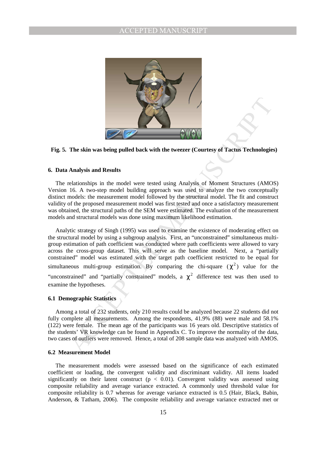

#### **Fig. 5. The skin was being pulled back with the tweezer (Courtesy of Tactus Technologies)**

#### **6. Data Analysis and Results**

The relationships in the model were tested using Analysis of Moment Structures (AMOS) Version 16. A two-step model building approach was used to analyze the two conceptually distinct models: the measurement model followed by the structural model. The fit and construct validity of the proposed measurement model was first tested and once a satisfactory measurement was obtained, the structural paths of the SEM were estimated. The evaluation of the measurement models and structural models was done using maximum likelihood estimation.

Analytic strategy of Singh (1995) was used to examine the existence of moderating effect on the structural model by using a subgroup analysis. First, an "unconstrained" simultaneous multigroup estimation of path coefficient was conducted where path coefficients were allowed to vary across the cross-group dataset. This will serve as the baseline model. Next, a "partially constrained" model was estimated with the target path coefficient restricted to be equal for simultaneous multi-group estimation. By comparing the chi-square  $(\chi^2)$  value for the "unconstrained" and "partially constrained" models, a  $\chi^2$  difference test was then used to examine the hypotheses.

#### **6.1 Demographic Statistics**

Among a total of 232 students, only 210 results could be analyzed because 22 students did not fully complete all measurements. Among the respondents, 41.9% (88) were male and 58.1% (122) were female. The mean age of the participants was 16 years old. Descriptive statistics of the students' VR knowledge can be found in Appendix C. To improve the normality of the data, two cases of outliers were removed. Hence, a total of 208 sample data was analyzed with AMOS.

#### **6.2 Measurement Model**

The measurement models were assessed based on the significance of each estimated coefficient or loading, the convergent validity and discriminant validity. All items loaded significantly on their latent construct ( $p < 0.01$ ). Convergent validity was assessed using composite reliability and average variance extracted. A commonly used threshold value for composite reliability is 0.7 whereas for average variance extracted is 0.5 (Hair, Black, Babin, Anderson, & Tatham, 2006). The composite reliability and average variance extracted met or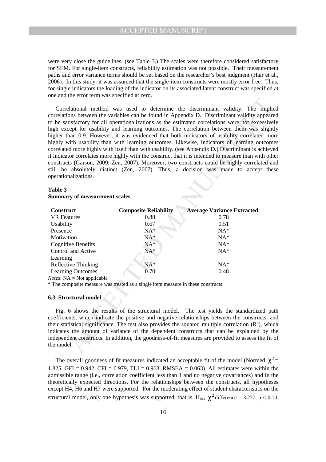were very close the guidelines. (see Table 3.) The scales were therefore considered satisfactory for SEM. For single-item constructs, reliability estimation was not possible. Their measurement paths and error variance terms should be set based on the researcher's best judgment (Hair et al., 2006). In this study, it was assumed that the single-item constructs were mostly error free. Thus, for single indicators the loading of the indicator on its associated latent construct was specified at one and the error term was specified at zero.

Correlational method was used to determine the discriminant validity. The implied correlations between the variables can be found in Appendix D. Discriminant validity appeared to be satisfactory for all operationalizations as the estimated correlations were not excessively high except for usability and learning outcomes. The correlation between them was slightly higher than 0.9. However, it was evidenced that both indicators of usability correlated more highly with usability than with learning outcomes. Likewise, indicators of learning outcomes correlated more highly with itself than with usability. (see Appendix D.) Discriminant is achieved if indicator correlates more highly with the construct that it is intended to measure than with other constructs (Garson, 2009; Zen, 2007). Moreover, two constructs could be highly correlated and still be absolutely distinct (Zen, 2007). Thus, a decision was made to accept these operationalizations.

#### **Table 3 Summary of measurement scales**

| <b>Construct</b>          | <b>Composite Reliability</b> | <b>Average Variance Extracted</b> |
|---------------------------|------------------------------|-----------------------------------|
| <b>VR</b> Features        | 0.88                         | 0.78                              |
| Usability                 | 0.67                         | 0.51                              |
| Presence                  | $NA*$                        | $NA*$                             |
| Motivation                | $NA*$                        | $NA*$                             |
| <b>Cognitive Benefits</b> | $NA*$                        | $NA*$                             |
| Control and Active        | $NA*$                        | $NA*$                             |
| Learning                  |                              |                                   |
| Reflective Thinking       | $NA^*$                       | $NA*$                             |
| Learning Outcomes         | 0.70                         | 0.48                              |

*Notes*: NA = Not applicable

\* The composite measure was treated as a single item measure in these constructs.

#### **6.3 Structural model**

Fig. 6 shows the results of the structural model. The test yields the standardized path coefficients, which indicate the positive and negative relationships between the constructs, and their statistical significance. The test also provides the squared multiple correlation  $(R^2)$ , which indicates the amount of variance of the dependent constructs that can be explained by the independent constructs. In addition, the goodness-of-fit measures are provided to assess the fit of the model.

The overall goodness of fit measures indicated an acceptable fit of the model (Normed  $\chi^2$  = 1.825, GFI = 0.942, CFI = 0.979, TLI = 0.968, RMSEA = 0.063). All estimates were within the admissible range (i.e., correlation coefficient less than 1 and no negative covariances) and in the theoretically expected directions. For the relationships between the constructs, all hypotheses except H4, H6 and H7 were supported. For the moderating effect of student characteristics on the structural model, only one hypothesis was supported, that is,  $H_{04}$ ,  $\chi^2$  difference = 3.277, p < 0.10.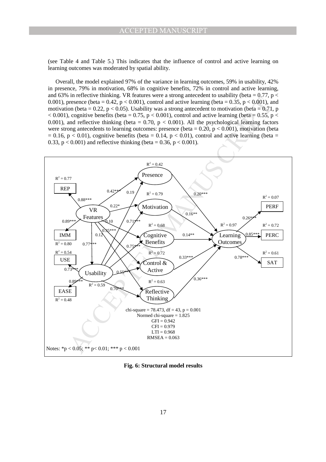(see Table 4 and Table 5.) This indicates that the influence of control and active learning on learning outcomes was moderated by spatial ability.

Overall, the model explained 97% of the variance in learning outcomes, 59% in usability, 42% in presence, 79% in motivation, 68% in cognitive benefits, 72% in control and active learning, and 63% in reflective thinking. VR features were a strong antecedent to usability (beta = 0.77, p  $\lt$ 0.001), presence (beta =  $0.42$ ,  $p < 0.001$ ), control and active learning (beta = 0.35,  $p < 0.001$ ), and motivation (beta = 0.22,  $p < 0.05$ ). Usability was a strong antecedent to motivation (beta = 0.71, p  $<$  0.001), cognitive benefits (beta = 0.75, p  $<$  0.001), control and active learning (beta = 0.55, p  $<$ 0.001), and reflective thinking (beta =  $0.70$ ,  $p < 0.001$ ). All the psychological learning factors were strong antecedents to learning outcomes: presence (beta =  $0.20$ ,  $p < 0.001$ ), motivation (beta  $= 0.16$ , p < 0.01), cognitive benefits (beta = 0.14, p < 0.01), control and active learning (beta = 0.33,  $p < 0.001$ ) and reflective thinking (beta = 0.36,  $p < 0.001$ ).



**Fig. 6: Structural model results**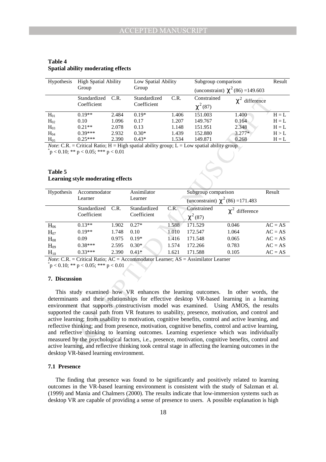| <b>Hypothesis</b> | <b>High Spatial Ability</b><br>Group |       | Low Spatial Ability<br>Group |       | Subgroup comparison<br>(unconstraint) $\chi^2$ (86) = 149.603 | Result     |         |
|-------------------|--------------------------------------|-------|------------------------------|-------|---------------------------------------------------------------|------------|---------|
|                   | Standardized<br>Coefficient          | C.R.  | Standardized<br>Coefficient  | C.R.  | Constrained                                                   | difference |         |
|                   |                                      |       |                              |       | $\chi^2(87)$                                                  |            |         |
| $H_{01}$          | $0.19**$                             | 2.484 | $0.19*$                      | 1.406 | 151.003                                                       | 1.400      | $H = L$ |
| $H_{02}$          | 0.10                                 | 1.096 | 0.17                         | 1.207 | 149.767                                                       | 0.164      | $H = L$ |
| $H_{03}$          | $0.21**$                             | 2.078 | 0.13                         | 1.148 | 151.951                                                       | 2.348      | $H = L$ |
| $H_{04}$          | $0.39***$                            | 2.932 | $0.30*$                      | 1.439 | 152.880                                                       | $3.277*$   | H > L   |
| $H_{05}$          | $0.25***$                            | 2.390 | $0.43*$                      | 1.534 | 149.871                                                       | 0.268      | $H = L$ |

#### **Table 4 Spatial ability moderating effects**

*Note*: C.R. = Critical Ratio; H = High spatial ability group;  $L = Low$  spatial ability group

 $p < 0.10$ ; \*\* p < 0.05; \*\*\* p < 0.01

#### **Table 5 Learning style moderating effects**

| <b>Hypothesis</b> | Accommodator |       | Assimilator  |       |                                        | Subgroup comparison |           |  |
|-------------------|--------------|-------|--------------|-------|----------------------------------------|---------------------|-----------|--|
|                   | Learner      |       | Learner      |       | (unconstraint) $\chi^2$ (86) = 171.483 |                     |           |  |
|                   | Standardized | C.R.  | Standardized | C.R.  | Constrained                            | difference          |           |  |
|                   | Coefficient  |       | Coefficient  |       | $\chi^2(87)$                           |                     |           |  |
| $H_{06}$          | $0.13**$     | 1.902 | $0.27*$      | 1.588 | 171.529                                | 0.046               | $AC = AS$ |  |
| $H_{07}$          | $0.19**$     | 1.748 | 0.10         | 1.010 | 172.547                                | 1.064               | $AC = AS$ |  |
| $H_{08}$          | 0.09         | 0.975 | $0.19*$      | 1.416 | 171.548                                | 0.065               | $AC = AS$ |  |
| $H_{09}$          | $0.38***$    | 2.595 | $0.30*$      | 1.574 | 172.266                                | 0.783               | $AC = AS$ |  |
| $H_{10}$          | $0.33***$    | 2.390 | $0.41*$      | 1.621 | 171.588                                | 0.105               | $AC = AS$ |  |

*Note*: C.R. = Critical Ratio; AC = Accommodator Learner; AS = Assimilator Learner

 $p < 0.10$ ; \*\* p < 0.05; \*\*\* p < 0.01

#### **7. Discussion**

This study examined how VR enhances the learning outcomes. In other words, the determinants and their relationships for effective desktop VR-based learning in a learning environment that supports constructivism model was examined. Using AMOS, the results supported the causal path from VR features to usability, presence, motivation, and control and active learning; from usability to motivation, cognitive benefits, control and active learning, and reflective thinking; and from presence, motivation, cognitive benefits, control and active learning, and reflective thinking to learning outcomes. Learning experience which was individually measured by the psychological factors, i.e., presence, motivation, cognitive benefits, control and active learning, and reflective thinking took central stage in affecting the learning outcomes in the desktop VR-based learning environment.

## **7.1 Presence**

The finding that presence was found to be significantly and positively related to learning outcomes in the VR-based learning environment is consistent with the study of Salzman et al. (1999) and Mania and Chalmers (2000). The results indicate that low-immersion systems such as desktop VR are capable of providing a sense of presence to users. A possible explanation is high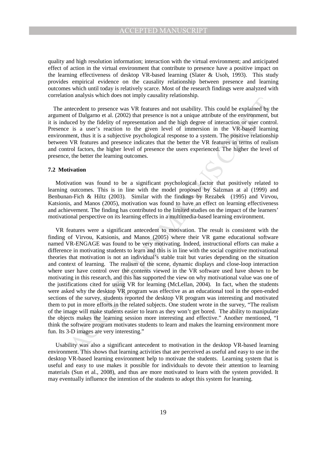quality and high resolution information; interaction with the virtual environment; and anticipated effect of action in the virtual environment that contribute to presence have a positive impact on the learning effectiveness of desktop VR-based learning (Slater & Usoh, 1993). This study provides empirical evidence on the causality relationship between presence and learning outcomes which until today is relatively scarce. Most of the research findings were analyzed with correlation analysis which does not imply causality relationship.

 The antecedent to presence was VR features and not usability. This could be explained by the argument of Dalgarno et al. (2002) that presence is not a unique attribute of the environment, but it is induced by the fidelity of representation and the high degree of interaction or user control. Presence is a user's reaction to the given level of immersion in the VR-based learning environment, thus it is a subjective psychological response to a system. The positive relationship between VR features and presence indicates that the better the VR features in terms of realism and control factors, the higher level of presence the users experienced. The higher the level of presence, the better the learning outcomes.

#### **7.2 Motivation**

Motivation was found to be a significant psychological factor that positively related to learning outcomes. This is in line with the model proposed by Salzman at al (1999) and Benbunan-Fich & Hiltz (2003). Similar with the findings by Rezabek (1995) and Virvou, Katsionis, and Manos (2005), motivation was found to have an effect on learning effectiveness and achievement. The finding has contributed to the limited studies on the impact of the learners' motivational perspective on its learning effects in a multimedia-based learning environment.

VR features were a significant antecedent to motivation. The result is consistent with the finding of Virvou, Katsionis, and Manos (2005) where their VR game educational software named VR-ENGAGE was found to be very motivating. Indeed, instructional efforts can make a difference in motivating students to learn and this is in line with the social cognitive motivational theories that motivation is not an individual's stable trait but varies depending on the situation and context of learning. The realism of the scene, dynamic displays and close-loop interaction where user have control over the contents viewed in the VR software used have shown to be motivating in this research, and this has supported the view on why motivational value was one of the justifications cited for using VR for learning (McLellan, 2004). In fact, when the students were asked why the desktop VR program was effective as an educational tool in the open-ended sections of the survey, students reported the desktop VR program was interesting and motivated them to put in more efforts in the related subjects. One student wrote in the survey, "The realism of the image will make students easier to learn as they won't get bored. The ability to manipulate the objects makes the learning session more interesting and effective." Another mentioned, "I think the software program motivates students to learn and makes the learning environment more fun. Its 3-D images are very interesting."

Usability was also a significant antecedent to motivation in the desktop VR-based learning environment. This shows that learning activities that are perceived as useful and easy to use in the desktop VR-based learning environment help to motivate the students. Learning system that is useful and easy to use makes it possible for individuals to devote their attention to learning materials (Sun et al., 2008), and thus are more motivated to learn with the system provided. It may eventually influence the intention of the students to adopt this system for learning.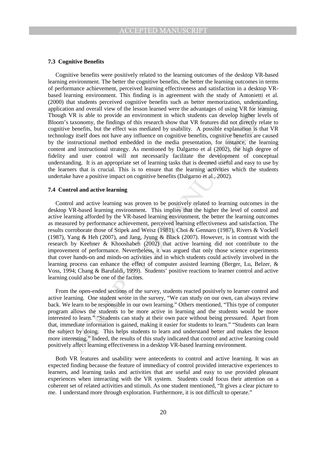#### **7.3 Cognitive Benefits**

Cognitive benefits were positively related to the learning outcomes of the desktop VR-based learning environment. The better the cognitive benefits, the better the learning outcomes in terms of performance achievement, perceived learning effectiveness and satisfaction in a desktop VRbased learning environment. This finding is in agreement with the study of Antonietti et al. (2000) that students perceived cognitive benefits such as better memorization, understanding, application and overall view of the lesson learned were the advantages of using VR for learning. Though VR is able to provide an environment in which students can develop higher levels of Bloom's taxonomy, the findings of this research show that VR features did not directly relate to cognitive benefits, but the effect was mediated by usability. A possible explanation is that VR technology itself does not have any influence on cognitive benefits, cognitive benefits are caused by the instructional method embedded in the media presentation, for instance, the learning content and instructional strategy. As mentioned by Dalgarno et al (2002), the high degree of fidelity and user control will not necessarily facilitate the development of conceptual understanding. It is an appropriate set of learning tasks that is deemed useful and easy to use by the learners that is crucial. This is to ensure that the learning activities which the students undertake have a positive impact on cognitive benefits (Dalgarno et al., 2002).

## **7.4 Control and active learning**

Control and active learning was proven to be positively related to learning outcomes in the desktop VR-based learning environment. This implies that the higher the level of control and active learning afforded by the VR-based learning environment, the better the learning outcomes as measured by performance achievement, perceived learning effectiveness and satisfaction. The results corroborate those of Stipek and Weisz (1981), Choi & Gennaro (1987), Rivers & Vockell (1987), Yang & Heh (2007), and Jang, Jyung & Black (2007). However, is in contrast with the research by Keehner & Khooshabeh (2002) that active learning did not contribute to the improvement of performance. Nevertheless, it was argued that only those science experiments that cover hands-on and minds-on activities and in which students could actively involved in the learning process can enhance the effect of computer assisted learning (Berger, Lu, Belzer, & Voss, 1994; Chang & Barufaldi, 1999). Students' positive reactions to learner control and active learning could also be one of the factors.

From the open-ended sections of the survey, students reacted positively to learner control and active learning. One student wrote in the survey, "We can study on our own, can always review back. We learn to be responsible in our own learning." Others mentioned, "This type of computer program allows the students to be more active in learning and the students would be more interested to learn." "Students can study at their own pace without being pressured. Apart from that, immediate information is gained, making it easier for students to learn." "Students can learn the subject by doing. This helps students to learn and understand better and makes the lesson more interesting." Indeed, the results of this study indicated that control and active learning could positively affect learning effectiveness in a desktop VR-based learning environment.

Both VR features and usability were antecedents to control and active learning. It was an expected finding because the feature of immediacy of control provided interactive experiences to learners, and learning tasks and activities that are useful and easy to use provided pleasant experiences when interacting with the VR system. Students could focus their attention on a coherent set of related activities and stimuli. As one student mentioned, "It gives a clear picture to me. I understand more through exploration. Furthermore, it is not difficult to operate."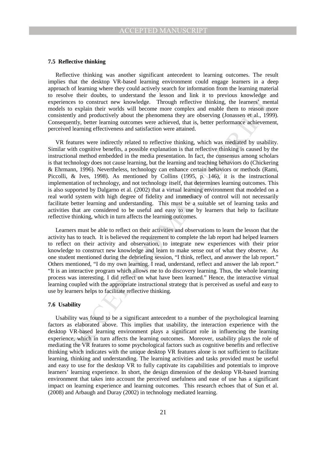#### **7.5 Reflective thinking**

Reflective thinking was another significant antecedent to learning outcomes. The result implies that the desktop VR-based learning environment could engage learners in a deep approach of learning where they could actively search for information from the learning material to resolve their doubts, to understand the lesson and link it to previous knowledge and experiences to construct new knowledge. Through reflective thinking, the learners' mental models to explain their worlds will become more complex and enable them to reason more consistently and productively about the phenomena they are observing (Jonassen et al., 1999). Consequently, better learning outcomes were achieved, that is, better performance achievement, perceived learning effectiveness and satisfaction were attained.

VR features were indirectly related to reflective thinking, which was mediated by usability. Similar with cognitive benefits, a possible explanation is that reflective thinking is caused by the instructional method embedded in the media presentation. In fact, the consensus among scholars is that technology does not cause learning, but the learning and teaching behaviors do (Chickering & Ehrmann, 1996). Nevertheless, technology can enhance certain behaviors or methods (Rami, Piccolli, & Ives, 1998). As mentioned by Collins (1995, p. 146), it is the instructional implementation of technology, and not technology itself, that determines learning outcomes. This is also supported by Dalgarno et al. (2002) that a virtual learning environment that modeled on a real world system with high degree of fidelity and immediacy of control will not necessarily facilitate better learning and understanding. This must be a suitable set of learning tasks and activities that are considered to be useful and easy to use by learners that help to facilitate reflective thinking, which in turn affects the learning outcomes.

Learners must be able to reflect on their activities and observations to learn the lesson that the activity has to teach. It is believed the requirement to complete the lab report had helped learners to reflect on their activity and observation, to integrate new experiences with their prior knowledge to construct new knowledge and learn to make sense out of what they observe. As one student mentioned during the debriefing session, "I think, reflect, and answer the lab report." Others mentioned, "I do my own learning. I read, understand, reflect and answer the lab report." "It is an interactive program which allows me to do discovery learning. Thus, the whole learning process was interesting. I did reflect on what have been learned." Hence, the interactive virtual learning coupled with the appropriate instructional strategy that is perceived as useful and easy to use by learners helps to facilitate reflective thinking.

#### **7.6 Usability**

Usability was found to be a significant antecedent to a number of the psychological learning factors as elaborated above. This implies that usability, the interaction experience with the desktop VR-based learning environment plays a significant role in influencing the learning experience, which in turn affects the learning outcomes. Moreover, usability plays the role of mediating the VR features to some psychological factors such as cognitive benefits and reflective thinking which indicates with the unique desktop VR features alone is not sufficient to facilitate learning, thinking and understanding. The learning activities and tasks provided must be useful and easy to use for the desktop VR to fully captivate its capabilities and potentials to improve learners' learning experience. In short, the design dimension of the desktop VR-based learning environment that takes into account the perceived usefulness and ease of use has a significant impact on learning experience and learning outcomes. This research echoes that of Sun et al. (2008) and Arbaugh and Duray (2002) in technology mediated learning.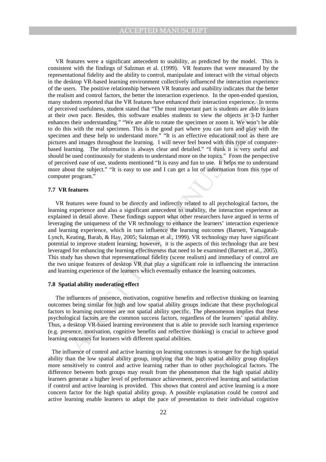VR features were a significant antecedent to usability, as predicted by the model. This is consistent with the findings of Salzman et al. (1999). VR features that were measured by the representational fidelity and the ability to control, manipulate and interact with the virtual objects in the desktop VR-based learning environment collectively influenced the interaction experience of the users. The positive relationship between VR features and usability indicates that the better the realism and control factors, the better the interaction experience. In the open-ended question, many students reported that the VR features have enhanced their interaction experience. In terms of perceived usefulness, student stated that "The most important part is students are able to learn at their own pace. Besides, this software enables students to view the objects in 3-D further enhances their understanding." "We are able to rotate the specimen or zoom it. We won't be able to do this with the real specimen. This is the good part where you can turn and play with the specimen and these help to understand more." "It is an effective educational tool as there are pictures and images throughout the learning. I will never feel bored with this type of computerbased learning. The information is always clear and detailed." "I think it is very useful and should be used continuously for students to understand more on the topics." From the perspective of perceived ease of use, students mentioned "It is easy and fun to use. It helps me to understand more about the subject." "It is easy to use and I can get a lot of information from this type of computer program."

## **7.7 VR features**

VR features were found to be directly and indirectly related to all psychological factors, the learning experience and also a significant antecedent to usability, the interaction experience as explained in detail above. These findings support what other researchers have argued in terms of leveraging the uniqueness of the VR technology to enhance the learners' interaction experience and learning experience, which in turn influence the learning outcomes (Barnett, Yamagatah-Lynch, Keating, Barab, & Hay, 2005; Salzman et al., 1999). VR technology may have significant potential to improve student learning; however, it is the aspects of this technology that are best leveraged for enhancing the learning effectiveness that need to be examined (Barnett et al., 2005). This study has shown that representational fidelity (scene realism) and immediacy of control are the two unique features of desktop VR that play a significant role in influencing the interaction and learning experience of the learners which eventually enhance the learning outcomes.

#### **7.8 Spatial ability moderating effect**

The influences of presence, motivation, cognitive benefits and reflective thinking on learning outcomes being similar for high and low spatial ability groups indicate that these psychological factors to learning outcomes are not spatial ability specific. The phenomenon implies that these psychological factors are the common success factors, regardless of the learners' spatial ability. Thus, a desktop VR-based learning environment that is able to provide such learning experience (e.g. presence, motivation, cognitive benefits and reflective thinking) is crucial to achieve good learning outcomes for learners with different spatial abilities.

The influence of control and active learning on learning outcomes is stronger for the high spatial ability than the low spatial ability group, implying that the high spatial ability group displays more sensitively to control and active learning rather than to other psychological factors. The difference between both groups may result from the phenomenon that the high spatial ability learners generate a higher level of performance achievement, perceived learning and satisfaction if control and active learning is provided. This shows that control and active learning is a more concern factor for the high spatial ability group. A possible explanation could be control and active learning enable learners to adapt the pace of presentation to their individual cognitive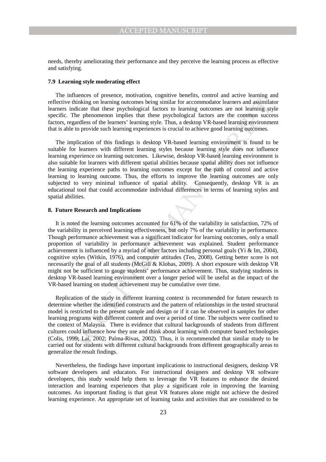needs, thereby ameliorating their performance and they perceive the learning process as effective and satisfying.

#### **7.9 Learning style moderating effect**

The influences of presence, motivation, cognitive benefits, control and active learning and reflective thinking on learning outcomes being similar for accommodator learners and assimilator learners indicate that these psychological factors to learning outcomes are not learning style specific. The phenomenon implies that these psychological factors are the common success factors, regardless of the learners' learning style. Thus, a desktop VR-based learning environment that is able to provide such learning experiences is crucial to achieve good learning outcomes.

The implication of this findings is desktop VR-based learning environment is found to be suitable for learners with different learning styles because learning style does not influence learning experience on learning outcomes. Likewise, desktop VR-based learning environment is also suitable for learners with different spatial abilities because spatial ability does not influence the learning experience paths to learning outcomes except for the path of control and active learning to learning outcome. Thus, the efforts to improve the learning outcomes are only subjected to very minimal influence of spatial ability. Consequently, desktop VR is an educational tool that could accommodate individual differences in terms of learning styles and spatial abilities.

#### **8. Future Research and Implications**

It is noted the learning outcomes accounted for 61% of the variability in satisfaction, 72% of the variability in perceived learning effectiveness, but only 7% of the variability in performance. Though performance achievement was a significant indicator for learning outcomes, only a small proportion of variability in performance achievement was explained. Student performance achievement is influenced by a myriad of other factors including personal goals (Yi  $\&$  Im, 2004), cognitive styles (Witkin, 1976), and computer attitudes (Teo, 2008). Getting better score is not necessarily the goal of all students (McGill & Klobas, 2009). A short exposure with desktop VR might not be sufficient to gauge students' performance achievement. Thus, studying students in desktop VR-based learning environment over a longer period will be useful as the impact of the VR-based learning on student achievement may be cumulative over time.

Replication of the study in different learning context is recommended for future research to determine whether the identified constructs and the pattern of relationships in the tested structural model is restricted to the present sample and design or if it can be observed in samples for other learning programs with different content and over a period of time. The subjects were confined to the context of Malaysia. There is evidence that cultural backgrounds of students from different cultures could influence how they use and think about learning with computer based technologies (Colis, 1999; Lai, 2002; Palma-Rivas, 2002). Thus, it is recommended that similar study to be carried out for students with different cultural backgrounds from different geographically areas to generalize the result findings.

Nevertheless, the findings have important implications to instructional designers, desktop VR software developers and educators. For instructional designers and desktop VR software developers, this study would help them to leverage the VR features to enhance the desired interaction and learning experiences that play a significant role in improving the learning outcomes. An important finding is that great VR features alone might not achieve the desired learning experience. An appropriate set of learning tasks and activities that are considered to be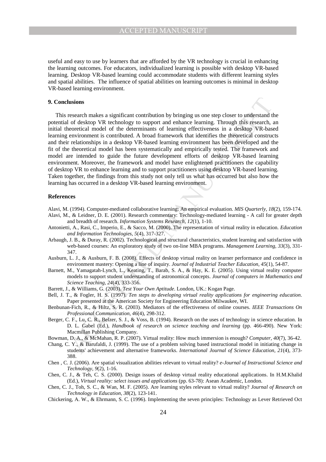useful and easy to use by learners that are afforded by the VR technology is crucial in enhancing the learning outcomes. For educators, individualized learning is possible with desktop VR-based learning. Desktop VR-based learning could accommodate students with different learning styles and spatial abilities. The influence of spatial abilities on learning outcomes is minimal in desktop VR-based learning environment.

#### **9. Conclusions**

This research makes a significant contribution by bringing us one step closer to understand the potential of desktop VR technology to support and enhance learning. Through this research, an initial theoretical model of the determinants of learning effectiveness in a desktop VR-based learning environment is contributed. A broad framework that identifies the theoretical constructs and their relationships in a desktop VR-based learning environment has been developed and the fit of the theoretical model has been systematically and empirically tested. The framework and model are intended to guide the future development efforts of desktop VR-based learning environment. Moreover, the framework and model have enlightened practitioners the capability of desktop VR to enhance learning and to support practitioners using desktop VR-based learning. Taken together, the findings from this study not only tell us what has occurred but also how the learning has occurred in a desktop VR-based learning environment.

#### **References**

Alavi, M. (1994). Computer-mediated collaborative learning: An empirical evaluation. *MIS Quarterly, 18*(2), 159-174. Alavi, M., & Leidner, D. E. (2001). Research commentary: Technology-mediated learning - A call for greater depth and breadth of research. *Information Systems Research, 12*(1), 1-10.

- Antonietti, A., Rasi, C., Imperio, E., & Sacco, M. (2000). The representation of virtual reality in education. *Education and Information Technologies, 5*(4), 317-327.
- Arbaugh, J. B., & Duray, R. (2002). Technological and structural characteristics, student learning and satisfaction with web-based courses: An exploratory study of two on-line MBA programs. *Management Learning, 33*(3), 331- 347.
- Ausburn, L. J., & Ausburn, F. B. (2008). Effects of desktop virtual reality on learner performance and confidence in environment mastery: Opening a line of inquiry. *Journal of Industrial Teacher Education, 45*(1), 54-87.
- Barnett, M., Yamagatah-Lynch, L., Keating, T., Barab, S. A., & Hay, K. E. (2005). Using virtual reality computer models to support student understanding of astronomical concepts. *Journal of computers in Mathematics and Science Teaching, 24*(4), 333-356.
- Barrett, J., & Williams, G. (2003). *Test Your Own Aptitude*. London, UK.: Kogan Page.
- Bell, J. T., & Fogler, H. S. (1997). *Ten steps to developing virtual reality applications for engineering education.* Paper presented at the American Society for Engineering Education Milwaukee, WI.
- Benbunan-Fich, R., & Hiltz, S. R. (2003). Mediators of the effectiveness of online courses. *IEEE Transactions On Professional Communication, 46*(4), 298-312.
- Berger, C. F., Lu, C. R., Belzer, S. J., & Voss, B. (1994). Research on the uses of technology in science education. In D. L. Gabel (Ed.), *Handbook of research on science teaching and learning* (pp. 466-490). New York: Macmillan Publishing Company.
- Bowman, D. A., & McMahan, R. P. (2007). Virtual reality: How much immersion is enough? *Computer, 40*(7), 36-42.
- Chang, C. Y., & Barufaldi, J. (1999). The use of a problem solving based instructional model in initiating change in students' achievement and alternative frameworks. *International Journal of Science Education, 21*(4), 373- 388.
- Chen , C. J. (2006). Are spatial visualization abilities relevant to virtual reality? *e-Journal of Instructional Science and Technology, 9*(2), 1-16.
- Chen, C. J., & Teh, C. S. (2000). Design issues of desktop virtual reality educational applications. In H.M.Khalid (Ed.), *Virtual reality: select issues and applications* (pp. 63-78): Asean Academic, London.
- Chen, C. J., Toh, S. C., & Wan, M. F. (2005). Are learning styles relevant to virtual reality? *Journal of Research on Technology in Education, 38*(2), 123-141.
- Chickering, A. W., & Ehrmann, S. C. (1996). Implementing the seven principles: Technology as Lever Retrieved Oct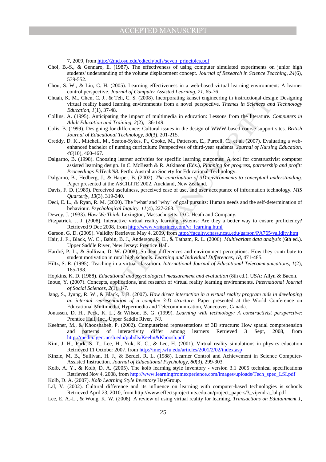7, 2009, from http://2md.osu.edu/edtech/pdfs/seven\_principles.pdf

- Choi, B.-S., & Gennaro, E. (1987). The effectiveness of using computer simulated experiments on junior high students' understanding of the volume displacement concept. *Journal of Research in Science Teaching, 24*(6), 539-552.
- Chou, S. W., & Liu, C. H. (2005). Learning effectiveness in a web-based virtual learning environment: A learner control perspective. *Journal of Computer Assisted Learning, 21*, 65-76.
- Chuah, K. M., Chen, C. J., & Teh, C. S. (2008). Incorporating kansei engineering in instructional design: Designing virtual reality based learning environments from a novel perspective. *Themes in Sciences and Technology Education, 1*(1), 37-48.
- Collins, A. (1995). Anticipating the impact of multimedia in education: Lessons from the literature. *Computers in Adult Education and Training, 2*(2), 136-149.
- Colis, B. (1999). Designing for difference: Cultural issues in the design of WWW-based course-support sites. *British Journal of Educational Technology, 30*(3), 201-215.
- Creddy, D. K., Mitchell, M., Seaton-Sykes, P., Cooke, M., Patterson, E., Purcell, C., et al. (2007). Evaluating a webenhanced bachelor of nursing curriculum: Perspectives of third-year students. *Journal of Nursing Education, 46*(10), 460-467.
- Dalgarno, B. (1998). Choosing learner activities for specific learning outcomes: A tool for constructivist computer assisted learning design. In C. McBeath & R. Atkinson (Eds.), *Planning for progress, partnership and profit: Proceedings EdTech'98*. Perth: Australian Society for Educational Technology.
- Dalgarno, B., Hedberg, J., & Harper, B. (2002). *The contribution of 3D environments to conceptual understanding.* Paper presented at the ASCILITE 2002, Auckland, New Zealand.
- Davis, F. D. (1989). Perceived usefulness, perceived ease of use, and user acceptance of information technology. *MIS Quarterly, 13*(3), 319-340.
- Deci, E. L., & Ryan, R. M. (2000). The "what' and "why" of goal pursuits: Human needs and the self-determination of behaviour. *Psychological Inquiry, 11*(4), 227-268.
- Dewey, J. (1933). *How We Think*. Lexington, Massachusetts: D.C. Heath and Company.
- Fitzpatrick, J. J. (2008). Interactive virtual reality learning systems: Are they a better way to ensure proficiency? Retrieved 9 Dec 2008, from http://www.vrmariner.com/vr\_learning.html
- Garson, G. D. (2009). Validity Retrieved May 4, 2009, from http://faculty.chass.ncsu.edu/garson/PA765/validity.htm
- Hair, J. F., Black, W. C., Babin, B. J., Anderson, R. E., & Tatham, R. L. (2006). *Multivariate data analysis* (6th ed.). Upper Saddle River, New Jersey: Prentice Hall.
- Hardré, P. L., & Sullivan, D. W. (2008). Student differences and environment perceptions: How they contribute to student motivation in rural high schools. *Learning and Individual Differences, 18*, 471-485.
- Hiltz, S. R. (1995). Teaching in a virtual classroom. *International Journal of Educational Telecommunications, 1*(2), 185-198.
- Hopkins, K. D. (1988). *Educational and psychological measurement and evaluation* (8th ed.). USA: Allyn & Bacon.
- Inoue, Y. (2007). Concepts, applications, and research of virtual reality learning environments. *International Journal of Social Sciences, 2*(1), 1-7.
- Jang, S., Jyung, R. W., & Black, J. B. (2007). *How direct interaction in a virtual reality program aids in developing an internal representation of a complex 3-D structure.* Paper presented at the World Conference on Educational Multimedia, Hypermedia and Telecommunication, Vancouver, Canada.
- Jonassen, D. H., Peck, K. L., & Wilson, B. G. (1999). *Learning with technology: A constructivist persperctive*: Prentice Hall, Inc., Upper Saddle River, NJ.
- Keehner, M., & Khooshabeh, P. (2002). Computerized representations of 3D structure: How spatial comprehension and patterns of interactivity differ among learners Retrieved 3 Sept, 2008, from http://media.igert.ucsb.edu/pubdls/Keehn&Khoosh.pdf
- Kim, J. H., Park, S. T., Lee, H., Yuk, K. C., & Lee, H. (2001). Virtual reality simulations in physics education Retrieved 11 October 2007, from http://imej.wfu.edu/articles/2001/2/02/index.asp
- Kinzie, M. B., Sullivan, H. J., & Berdel, R. L. (1988). Learner Control and Achievement in Science Computer-Assisted Instruction. *Journal of Educational Psychology, 80*(3), 299-303.
- Kolb, A. Y., & Kolb, D. A. (2005). The kolb learning style inventory version 3.1 2005 technical specifications Retrieved Nov 4, 2008, from http://www.learningfromexperience.com/images/uploads/Tech\_spec\_LSI.pdf
- Kolb, D. A. (2007). *Kolb Learning Style Inventory* HayGroup.
- Lal, V. (2002). Cultural difference and its influence on learning with computer-based technologies is schools Retrieved April 23, 2010, from http://www.effectsproject.uts.edu.au/project\_papers/3\_vijendra\_lal.pdf
- Lee, E. A.-L., & Wong, K. W. (2008). A review of using virtual reality for learning. *Transactions on Edutainment 1*,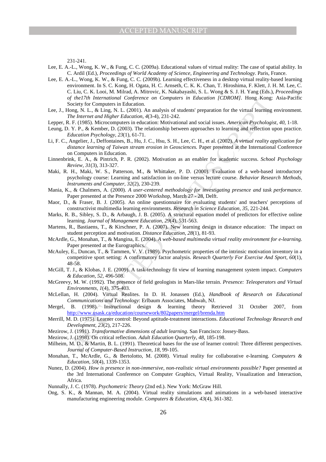231-241.

- Lee, E. A.-L., Wong, K. W., & Fung, C. C. (2009a). Educational values of virtual reality: The case of spatial ability. In C. Ardil (Ed.), *Proceedings of World Academy of Science, Engineering and Technology*. Paris, France.
- Lee, E. A.-L., Wong, K. W., & Fung, C. C. (2009b). Learning effectiveness in a desktop virtual reality-based learning environment. In S. C. Kong, H. Ogata, H. C. Arnseth, C. K. K. Chan, T. Hiroshima, F. Klett, J. H. M. Lee, C. C. Liu, C. K. Looi, M. Milrad, A. Mitrovic, K. Nakabayashi, S. L. Wong & S. J. H. Yang (Eds.), *Proceedings of the17th International Conference on Computers in Education [CDROM]*. Hong Kong: Asia-Pacific Society for Computers in Education.
- Lee, J., Hong, N. L., & Ling, N. L. (2001). An analysis of students' preparation for the virtual learning environment. *The Internet and Higher Education, 4*(3-4), 231-242.
- Lepper, R. F. (1985). Microcomputers in education: Motivational and social issues. *American Psychologist, 40*, 1-18.
- Leung, D. Y. P., & Kember, D. (2003). The relationship between approaches to learning and reflection upon practice. *Education Psychology, 23*(1), 61-71.
- Li, F. C., Angelier, J., Deffontaines, B., Hu, J. C., Hsu, S. H., Lee, C. H., et al. (2002). *A virtual reality application for distance learning of Taiwan stream erosion in Geosciences.* Paper presented at the International Conference on Computers in Education.
- Linnenbrink, E. A., & Pintrich, P. R. (2002). Motivation as an enabler for academic success. *School Psychology Review, 31*(3), 313-327.
- Maki, R. H., Maki, W. S., Patterson, M., & Whittaker, P. D. (2000). Evaluation of a web-based introductory psychology course: Learning and satisfaction in on-line versus lecture course. *Behavior Research Methods, Instruments and Computer, 32*(2), 230-239.
- Mania, K., & Chalmers, A. (2000). *A user-centered methodology for investigating presence and task performance.* Paper presented at the Presence 2000 Workshop, March 27 - 28, Delft.
- Maor, D., & Fraser, B. J. (2005). An online questionnaire for evaluating students' and teachers' perceptions of constructivist multimedia learning environments. *Research in Science Education, 35*, 221-244.
- Marks, R. B., Sibley, S. D., & Arbaugh, J. B. (2005). A structural equation model of predictors for effective online learning. *Journal of Management Education, 29*(4), 531-563.
- Martens, R., Bastiaens, T., & Kirschner, P. A. (2007). New learning design in distance education: The impact on student perception and motivation. *Distance Education, 28*(1), 81-93.
- McArdle, G., Monahan, T., & Mangina, E. (2004). *A web-based multimedia virtual reality environment for e-learning*. Paper presented at the Eurographics.
- McAuley, E., Duncan, T., & Tammen, V. V. (1989). Psychometric properties of the intrinsic motivation inventory in a competitive sport setting: A confirmatory factor analysis. *Reseach Quarterly For Exercise And Sport, 60*(1), 48-58.
- McGill, T. J., & Klobas, J. E. (2009). A task-technology fit view of learning management system impact. *Computers & Education, 52*, 496-508.
- McGreevy, M. W. (1992). The presence of field geologists in Mars-like terrain. *Presence: Teleoperators and Virtual Environments, 1*(4), 375-403.
- McLellan, H. (2004). Virtual Realites. In D. H. Jonassen (Ed.), *Handbook of Research on Educational Communications and Technology*: Erlbaum Associates, Mahwah, NJ.
- Mergel, B. (1998). Instructional design & learning theory Retrieved 31 October 2007, from http://www.usask.ca/education/coursework/802papers/mergel/brenda.htm
- Merrill, M. D. (1975). Learner control: Beyond aptitude-treatment interactions. *Educational Technology Research and Development, 23*(2), 217-226.
- Mezirow, J. (1991). *Transformative dimensions of adult learning*. San Francisco: Jossey-Bass.
- Mezirow, J. (1998). On critical reflection. *Adult Education Quarterly, 48*, 185-198.
- Milheim, M. D., & Martin, B. L. (1991). Theoretical bases for the use of learner control: Three different perspectives. *Journal of Computer-Based Instruction, 18*, 99-105.
- Monahan, T., McArdle, G., & Bertolotto, M. (2008). Virtual reality for collaborative e-learning. *Computers & Education, 50*(4), 1339-1353.
- Nunez, D. (2004). *How is presence in non-immersive, non-realistic virtual environments possible?* Paper presented at the 3rd International Conference on Computer Graphics, Virtual Reality, Visualization and Interaction, Africa.
- Nunnally, J. C. (1978). *Psychometric Theory* (2nd ed.). New York: McGraw Hill.
- Ong, S. K., & Mannan, M. A. (2004). Virtual reality simulations and animations in a web-based interactive manufacturing engineering module. *Computers & Education, 43*(4), 361-382.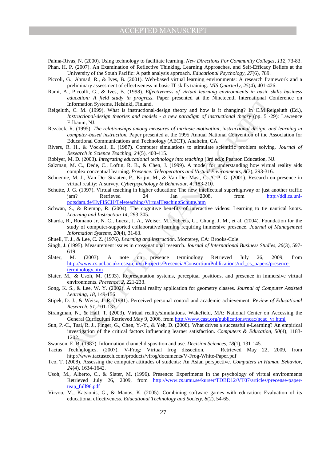Palma-Rivas, N. (2000). Using technology to facilitate learning. *New Directions For Community Colleges, 112*, 73-83. Phan, H. P. (2007). An Examination of Reflective Thinking, Learning Approaches, and Self-Efficacy Beliefs at the

- University of the South Pacific: A path analysis approach. *Educational Psychology, 27*(6), 789. Piccoli, G., Ahmad, R., & Ives, B. (2001). Web-based virtual learning environments: A research framework and a
	- preliminary assessment of effectiveness in basic IT skills training. *MIS Quarterly, 25*(4), 401-426.
- Rami, A., Piccolli, G., & Ives, B. (1998). *Effectiveness of virtual learning environments in basic skills business education: A field study in progress.* Paper presented at the Nineteenth International Conference on Information Systems, Helsinki, Finland.
- Reigeluth, C. M. (1999). What is instructional-design theory and how is it changing? In C.M.Reigeluth (Ed.), *Instructional-design theories and models - a new paradigm of instructional theory* (pp. 5 -29): Lawrence Erlbaum, NJ.
- Rezabek, R. (1995). *The relationships among measures of intrinsic motivation, instructional design, and learning in computer-based instruction.* Paper presented at the 1995 Annual National Convention of the Association for Educational Communications and Technology (AECT), Anaheim, CA.
- Rivers, R. H., & Vockell, E. (1987). Computer simulations to stimulate scientific problem solving. *Journal of Research in Science Teaching, 24*(5), 403-415.
- Roblyer, M. D. (2003). *Integrating educational technology into teaching* (3rd ed.): Pearson Education, NJ.
- Salzman, M. C., Dede, C., Loftin, R. B., & Chen, J. (1999). A model for understanding how virtual reality aids complex conceptual learning. *Presence: Teleoperators and Virtual Environments, 8*(3), 293-316.
- Schuemie, M. J., Van Der Straaten, P., Krijin, M., & Van Der Mast, C. A. P. G. (2001). Research on presence in virtual reality: A survey. *Cyberpsychology & Behaviour, 4*, 183-210.
- Schutte, J. G. (1997). Virtual teaching in higher education: The new intellectual superhighway or just another traffic jam? Retrieved 24 Jan 2008, from http://ddi.cs.unipotsdam.de/HyFISCH/Teleteaching/VirtualTeachingSchutte.htm
- Schwan, S., & Riempp, R. (2004). The cognitive benefits of interactive videos: Learning to tie nautical knots. *Learning and Instruction 14*, 293-305.
- Sharda, R., Romano Jr, N. C., Lucca, J. A., Weiser, M., Scheets, G., Chung, J. M., et al. (2004). Foundation for the study of computer-supported collaborative learning requiring immersive presence. *Journal of Management Information Systems, 20*(4), 31-63.
- Shuell, T. J., & Lee, C. Z. (1976). *Learning and instruction*. Monterey, CA: Brooks-Cole.
- Singh, J. (1995). Measurement issues in cross-national research. *Journal of International Business Studies, 26*(3), 597- 619.
- Slater, M. (2003). A note on presence terminology Retrieved July 26, 2009, from http://www.cs.ucl.ac.uk/research/vr/Projects/Presencia/ConsortiumPublications/ucl\_cs\_papers/presenceterminology.htm
- Slater, M., & Usoh, M. (1993). Representation systems, perceptual positions, and presence in immersive virtual environments. *Presence, 2*, 221-233.
- Song, K. S., & Lee, W. Y. (2002). A virtual reality application for geometry classes. *Journal of Computer Assisted Learning, 18*, 149-156.
- Stipek, D. J., & Weisz, J. R. (1981). Perceived personal control and academic achievement. *Review of Educational Research, 51*, 101-137.
- Strangman, N., & Hall, T. (2003). Virtual reality/simulations. Wakefield, MA: National Center on Accessing the General Curriculum Retrieved May 9, 2006, from http://www.cast.org/publications/ncac/ncac\_vr.html
- Sun, P.-C., Tsai, R. J., Finger, G., Chen, Y.-Y., & Yeh, D. (2008). What drives a successful e-Learning? An empirical investigation of the critical factors influencing learner satisfaction. *Computers & Education, 50*(4), 1183- 1202.
- Swanson, E. B. (1987). Information channel disposition and use. *Decision Sciences, 18*(1), 131-145.
- Tactus Technologies. (2007). V-Frog: Virtual frog dissection. Retrieved May 22, 2009, from http://www.tactustech.com/products/vfrog/documents/V-Frog-White-Paper.pdf
- Teo, T. (2008). Assessing the computer attitudes of students: An Asian perspective. *Computers in Human Behavior, 24*(4), 1634-1642.
- Usoh, M., Alberto, C., & Slater, M. (1996). Presence: Experiments in the psychology of virtual environments Retrieved July 26, 2009, from http://www.cs.umu.se/kurser/TDBD12/VT07/articles/precense-paperteap\_full96.pdf
- Virvou, M., Katsionis, G., & Manos, K. (2005). Combining software games with education: Evaluation of its educational effectiveness. *Educational Technology and Society, 8*(2), 54-65.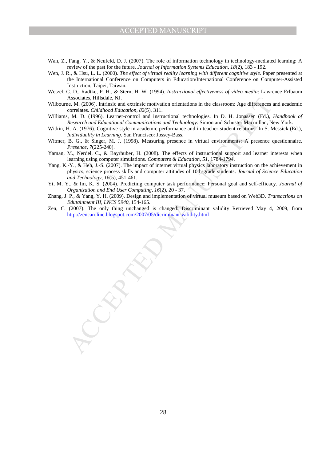- Wan, Z., Fang, Y., & Neufeld, D. J. (2007). The role of information technology in technology-mediated learning: A review of the past for the future. *Journal of Information Systems Education, 18*(2), 183 - 192.
- Wen, J. R., & Hsu, L. L. (2000). *The effect of virtual reality learning with different cognitive style.* Paper presented at the International Conference on Computers in Education/International Conference on Computer-Assisted Instruction, Taipei, Taiwan.
- Wetzel, C. D., Radtke, P. H., & Stern, H. W. (1994). *Instructional effectiveness of video media*: Lawrence Erlbaum Associates, Hillsdale, NJ.
- Wilbourne, M. (2006). Intrinsic and extrinsic motivation orientations in the classroom: Age differences and academic correlates. *Childhood Education, 82*(5), 311.
- Williams, M. D. (1996). Learner-control and instructional technologies. In D. H. Jonassen (Ed.), *Handbook of Research and Educational Communications and Technology*: Simon and Schuster Macmillan, New York.
- Witkin, H. A. (1976). Cognitive style in academic performance and in teacher-student relations. In S. Messick (Ed.), *Individuality in Learning*. San Francisco: Jossey-Bass.
- Witmer, B. G., & Singer, M. J. (1998). Measuring presence in virtual environments: A presence questionnaire. *Presence, 7*(225-240).
- Yaman, M., Nerdel, C., & Bayrhuber, H. (2008). The effects of instructional support and learner interests when learning using computer simulations. *Computers & Education, 51*, 1784-1794.
- Yang, K.-Y., & Heh, J.-S. (2007). The impact of internet virtual physics laboratory instruction on the achievement in physics, science process skills and computer attitudes of 10th-grade students. *Journal of Science Education and Technology, 16*(5), 451-461.
- Yi, M. Y., & Im, K. S. (2004). Predicting computer task performance: Personal goal and self-efficacy. *Journal of Organization and End User Computing, 16*(2), 20 - 37.
- Zhang, J. P., & Yang, Y. H. (2009). Design and implementation of virtual museum based on Web3D. *Transactions on Edutainment III, LNCS 5940*, 154-165.
- Zen, C. (2007). The only thing unchanged is changed: Discriminant validity Retrieved May 4, 2009, from http://zencaroline.blogspot.com/2007/05/dicriminant-validity.html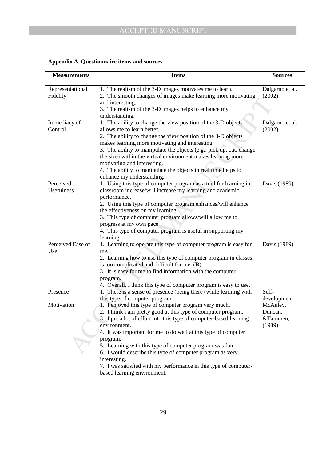| <b>Measurements</b> | <b>Items</b>                                                                                  | <b>Sources</b>     |
|---------------------|-----------------------------------------------------------------------------------------------|--------------------|
| Representational    | 1. The realism of the 3-D images motivates me to learn.                                       | Dalgarno et al.    |
| Fidelity            | 2. The smooth changes of images make learning more motivating                                 | (2002)             |
|                     | and interesting.                                                                              |                    |
|                     | 3. The realism of the 3-D images helps to enhance my                                          |                    |
|                     | understanding.                                                                                |                    |
| Immediacy of        | 1. The ability to change the view position of the 3-D objects                                 | Dalgarno et al.    |
| Control             | allows me to learn better.                                                                    | (2002)             |
|                     | 2. The ability to change the view position of the 3-D objects                                 |                    |
|                     | makes learning more motivating and interesting.                                               |                    |
|                     | 3. The ability to manipulate the objects (e.g.: pick up, cut, change                          |                    |
|                     | the size) within the virtual environment makes learning more                                  |                    |
|                     | motivating and interesting.                                                                   |                    |
|                     | 4. The ability to manipulate the objects in real time helps to                                |                    |
| Perceived           | enhance my understanding.<br>1. Using this type of computer program as a tool for learning in | Davis (1989)       |
| Usefulness          | classroom increase/will increase my learning and academic                                     |                    |
|                     | performance.                                                                                  |                    |
|                     | 2. Using this type of computer program enhances/will enhance                                  |                    |
|                     | the effectiveness on my learning.                                                             |                    |
|                     | 3. This type of computer program allows/will allow me to                                      |                    |
|                     | progress at my own pace.                                                                      |                    |
|                     | 4. This type of computer program is useful in supporting my                                   |                    |
|                     | learning.                                                                                     |                    |
| Perceived Ease of   | 1. Learning to operate this type of computer program is easy for                              | Davis (1989)       |
| Use                 | me.                                                                                           |                    |
|                     | 2. Learning how to use this type of computer program in classes                               |                    |
|                     | is too complicated and difficult for me. $(R)$                                                |                    |
|                     | 3. It is easy for me to find information with the computer                                    |                    |
|                     | program.                                                                                      |                    |
|                     | 4. Overall, I think this type of computer program is easy to use.                             |                    |
| Presence            | 1. There is a sense of presence (being there) while learning with                             | Self-              |
|                     | this type of computer program.                                                                | development        |
| Motivation          | 1. I enjoyed this type of computer program very much.                                         | McAuley,           |
|                     | 2. I think I am pretty good at this type of computer program.                                 | Duncan,            |
|                     | 3. I put a lot of effort into this type of computer-based learning<br>environment.            | &Tammen,<br>(1989) |
|                     | 4. It was important for me to do well at this type of computer                                |                    |
|                     | program.                                                                                      |                    |
|                     | 5. Learning with this type of computer program was fun.                                       |                    |
|                     | 6. I would describe this type of computer program as very                                     |                    |
|                     | interesting.                                                                                  |                    |
|                     | 7. I was satisfied with my performance in this type of computer-                              |                    |
|                     | based learning environment.                                                                   |                    |

# **Appendix A. Questionnaire items and sources**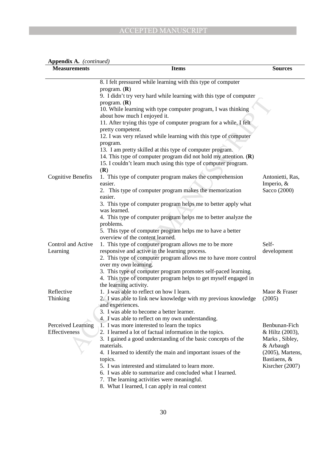# ACCEPTED MANUSCRIPT

| <b>Measurements</b>       | <b>Items</b>                                                                                   | <b>Sources</b>                 |
|---------------------------|------------------------------------------------------------------------------------------------|--------------------------------|
|                           | 8. I felt pressured while learning with this type of computer                                  |                                |
|                           | program. $(R)$                                                                                 |                                |
|                           | 9. I didn't try very hard while learning with this type of computer                            |                                |
|                           | program. $(R)$                                                                                 |                                |
|                           | 10. While learning with type computer program, I was thinking                                  |                                |
|                           | about how much I enjoyed it.                                                                   |                                |
|                           | 11. After trying this type of computer program for a while, I felt                             |                                |
|                           | pretty competent.                                                                              |                                |
|                           | 12. I was very relaxed while learning with this type of computer                               |                                |
|                           | program.                                                                                       |                                |
|                           | 13. I am pretty skilled at this type of computer program.                                      |                                |
|                           | 14. This type of computer program did not hold my attention. $(R)$                             |                                |
|                           | 15. I couldn't learn much using this type of computer program.<br>(R)                          |                                |
| <b>Cognitive Benefits</b> | 1. This type of computer program makes the comprehension<br>easier.                            | Antonietti, Ras,<br>Imperio, & |
|                           | 2. This type of computer program makes the memorization<br>easier.                             | Sacco (2000)                   |
|                           | 3. This type of computer program helps me to better apply what<br>was learned.                 |                                |
|                           | 4. This type of computer program helps me to better analyze the<br>problems.                   |                                |
|                           | 5. This type of computer program helps me to have a better<br>overview of the content learned. |                                |
| Control and Active        | 1. This type of computer program allows me to be more                                          | Self-                          |
| Learning                  | responsive and active in the learning process.                                                 | development                    |
|                           | 2. This type of computer program allows me to have more control                                |                                |
|                           | over my own learning.                                                                          |                                |
|                           | 3. This type of computer program promotes self-paced learning.                                 |                                |
|                           | 4. This type of computer program helps to get myself engaged in                                |                                |
|                           | the learning activity.                                                                         |                                |
| Reflective                | 1. I was able to reflect on how I learn.                                                       | Maor & Fraser                  |
| Thinking                  | 2. I was able to link new knowledge with my previous knowledge                                 | (2005)                         |
|                           | and experiences.                                                                               |                                |
|                           | 3. I was able to become a better learner.                                                      |                                |
|                           | 4. I was able to reflect on my own understanding.                                              |                                |
| Perceived Learning        | 1. I was more interested to learn the topics                                                   | Benbunan-Fich                  |
| Effectiveness             | 2. I learned a lot of factual information in the topics.                                       | & Hiltz (2003),                |
|                           | 3. I gained a good understanding of the basic concepts of the                                  | Marks, Sibley,                 |
|                           | materials.                                                                                     | & Arbaugh                      |
|                           | 4. I learned to identify the main and important issues of the                                  | (2005), Martens,               |
|                           | topics.                                                                                        | Bastiaens, &                   |
|                           | 5. I was interested and stimulated to learn more.                                              | Kisrcher (2007)                |
|                           | 6. I was able to summarize and concluded what I learned.                                       |                                |
|                           | 7. The learning activities were meaningful.                                                    |                                |
|                           | 8. What I learned, I can apply in real context                                                 |                                |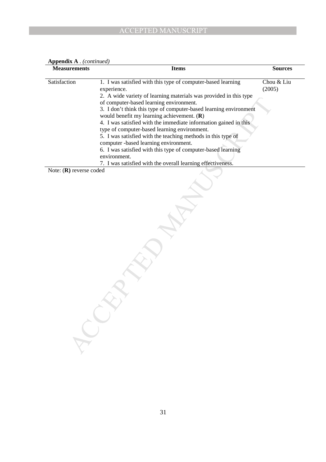| <b>Measurements</b>       | <b>Items</b>                                                | <b>Sources</b> |  |  |  |  |  |  |  |
|---------------------------|-------------------------------------------------------------|----------------|--|--|--|--|--|--|--|
| Satisfaction              | Chou & Liu<br>(2005)                                        |                |  |  |  |  |  |  |  |
|                           | environment.                                                |                |  |  |  |  |  |  |  |
| Note: $(R)$ reverse coded | 7. I was satisfied with the overall learning effectiveness. |                |  |  |  |  |  |  |  |

**HANN** 

# **Appendix A** . *(continued)*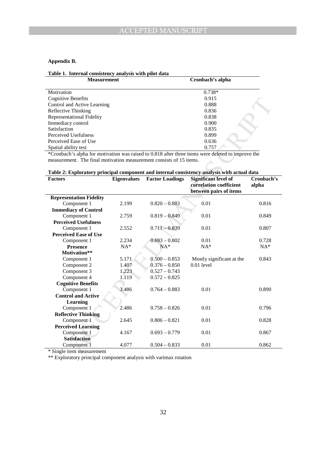#### **Appendix B.**

#### **Table 1. Internal consistency analysis with pilot data**

| <b>Measurement</b>               | Cronbach's alpha |  |  |  |  |
|----------------------------------|------------------|--|--|--|--|
| Motivation                       | $0.738*$         |  |  |  |  |
| Cognitive Benefits               | 0.915            |  |  |  |  |
| Control and Active Learning      | 0.888            |  |  |  |  |
| Reflective Thinking              | 0.836            |  |  |  |  |
| <b>Representational Fidelity</b> | 0.838            |  |  |  |  |
| Immediacy control                | 0.900            |  |  |  |  |
| Satisfaction                     | 0.835            |  |  |  |  |
| Perceived Usefulness             | 0.899            |  |  |  |  |
| Perceived Ease of Use            | 0.636            |  |  |  |  |
| Spatial ability test             | 0.757            |  |  |  |  |

\*Cronbach's alpha for motivation was raised to 0.818 after three items were deleted to improve the measurement. The final motivation measurement consists of 15 items.

# **Table 2: Exploratory principal component and internal consistency analysis with actual data**

| <b>Factors</b>                                       | <b>Factor Loadings</b><br><b>Eigenvalues</b> |                 | <b>Significant level of</b><br>correlation coefficient<br>between pairs of items | Cronbach's<br>alpha |
|------------------------------------------------------|----------------------------------------------|-----------------|----------------------------------------------------------------------------------|---------------------|
| <b>Representation Fidelity</b>                       |                                              |                 |                                                                                  |                     |
| Component 1                                          | 2.199                                        | $0.820 - 0.883$ | 0.01                                                                             | 0.816               |
| <b>Immediacy of Control</b>                          |                                              |                 |                                                                                  |                     |
| Component 1                                          | 2.759                                        | $0.819 - 0.849$ | 0.01                                                                             | 0.849               |
| <b>Perceived Usefulness</b>                          |                                              |                 |                                                                                  |                     |
| Component 1                                          | 2.552                                        | $0.711 - 0.839$ | 0.01                                                                             | 0.807               |
| <b>Perceived Ease of Use</b>                         |                                              |                 |                                                                                  |                     |
| Component 1                                          | 2.234                                        | $0.693 - 0.802$ | 0.01                                                                             | 0.728               |
| <b>Presence</b>                                      | $NA*$                                        | $NA*$           | $NA*$                                                                            | $NA*$               |
| Motivation**                                         |                                              |                 |                                                                                  |                     |
| Component 1                                          | 5.171                                        | $0.500 - 0.853$ | Mostly significant at the                                                        | 0.843               |
| Component 2                                          | 1.407                                        | $0.376 - 0.850$ | $0.01$ level                                                                     |                     |
| Component 3                                          | 1.223                                        | $0.527 - 0.743$ |                                                                                  |                     |
| Component 4                                          | 1.119                                        | $0.572 - 0.825$ |                                                                                  |                     |
| <b>Cognitive Benefits</b>                            |                                              |                 |                                                                                  |                     |
| Component 1                                          | 3.486                                        | $0.764 - 0.883$ | 0.01                                                                             | 0.890               |
| <b>Control and Active</b>                            |                                              |                 |                                                                                  |                     |
| <b>Learning</b>                                      |                                              |                 |                                                                                  |                     |
| Component 1                                          | 2.486                                        | $0.758 - 0.826$ | 0.01                                                                             | 0.796               |
| <b>Reflective Thinking</b>                           |                                              |                 |                                                                                  |                     |
| Component 1                                          | 2.645                                        | $0.806 - 0.821$ | 0.01                                                                             | 0.828               |
| <b>Perceived Learning</b>                            |                                              |                 |                                                                                  |                     |
| Component 1                                          | 4.167                                        | $0.693 - 0.779$ | 0.01                                                                             | 0.867               |
| <b>Satisfaction</b>                                  |                                              |                 |                                                                                  |                     |
| Component 1<br>$\sim$ $\sim$ $\sim$<br>$\sim$ $\sim$ | 4.077                                        | $0.504 - 0.833$ | 0.01                                                                             | 0.862               |

\* Single item measurement

\*\* Exploratory principal component analysis with varimax rotation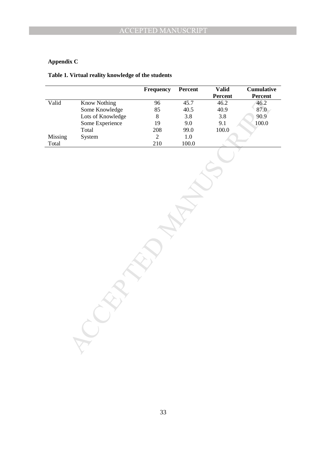# **Appendix C**

# **Table 1. Virtual reality knowledge of the students**

|         |                     | Frequency | <b>Percent</b> | <b>Valid</b><br><b>Percent</b> | <b>Cumulative</b><br>Percent |
|---------|---------------------|-----------|----------------|--------------------------------|------------------------------|
| Valid   | <b>Know Nothing</b> | 96        | 45.7           | 46.2                           | 46.2                         |
|         | Some Knowledge      | 85        | 40.5           | 40.9                           | 87.0                         |
|         | Lots of Knowledge   | 8         | 3.8            | 3.8                            | 90.9                         |
|         | Some Experience     | 19        | 9.0            | 9.1                            | 100.0                        |
|         | Total               | 208       | 99.0           | 100.0                          |                              |
| Missing | System              | 2         | 1.0            |                                |                              |
| Total   |                     | 210       | 100.0          |                                |                              |
|         |                     |           |                |                                |                              |